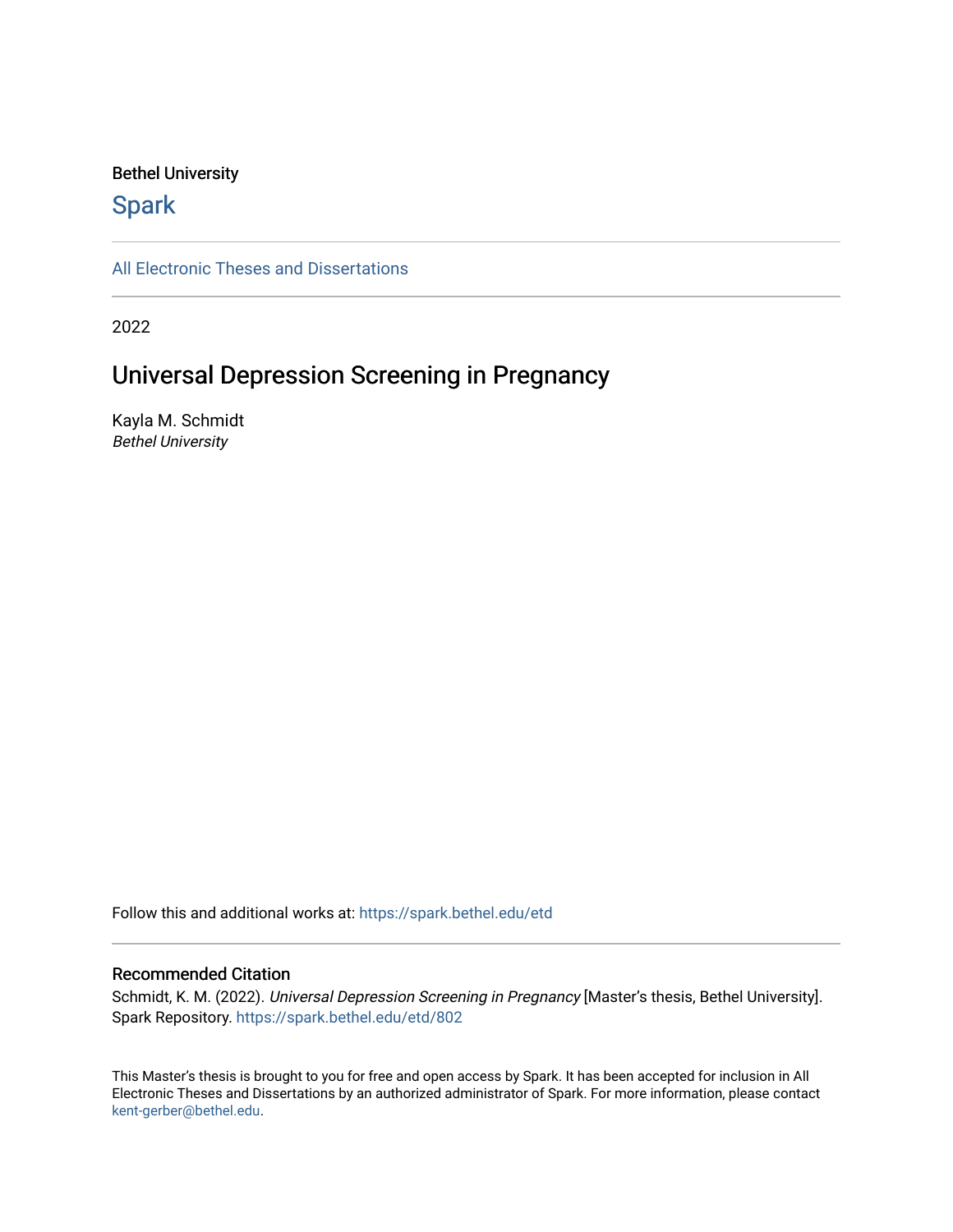#### Bethel University

## **Spark**

[All Electronic Theses and Dissertations](https://spark.bethel.edu/etd) 

2022

# Universal Depression Screening in Pregnancy

Kayla M. Schmidt Bethel University

Follow this and additional works at: [https://spark.bethel.edu/etd](https://spark.bethel.edu/etd?utm_source=spark.bethel.edu%2Fetd%2F802&utm_medium=PDF&utm_campaign=PDFCoverPages)

#### Recommended Citation

Schmidt, K. M. (2022). Universal Depression Screening in Pregnancy [Master's thesis, Bethel University]. Spark Repository. [https://spark.bethel.edu/etd/802](https://spark.bethel.edu/etd/802?utm_source=spark.bethel.edu%2Fetd%2F802&utm_medium=PDF&utm_campaign=PDFCoverPages)

This Master's thesis is brought to you for free and open access by Spark. It has been accepted for inclusion in All Electronic Theses and Dissertations by an authorized administrator of Spark. For more information, please contact [kent-gerber@bethel.edu](mailto:kent-gerber@bethel.edu).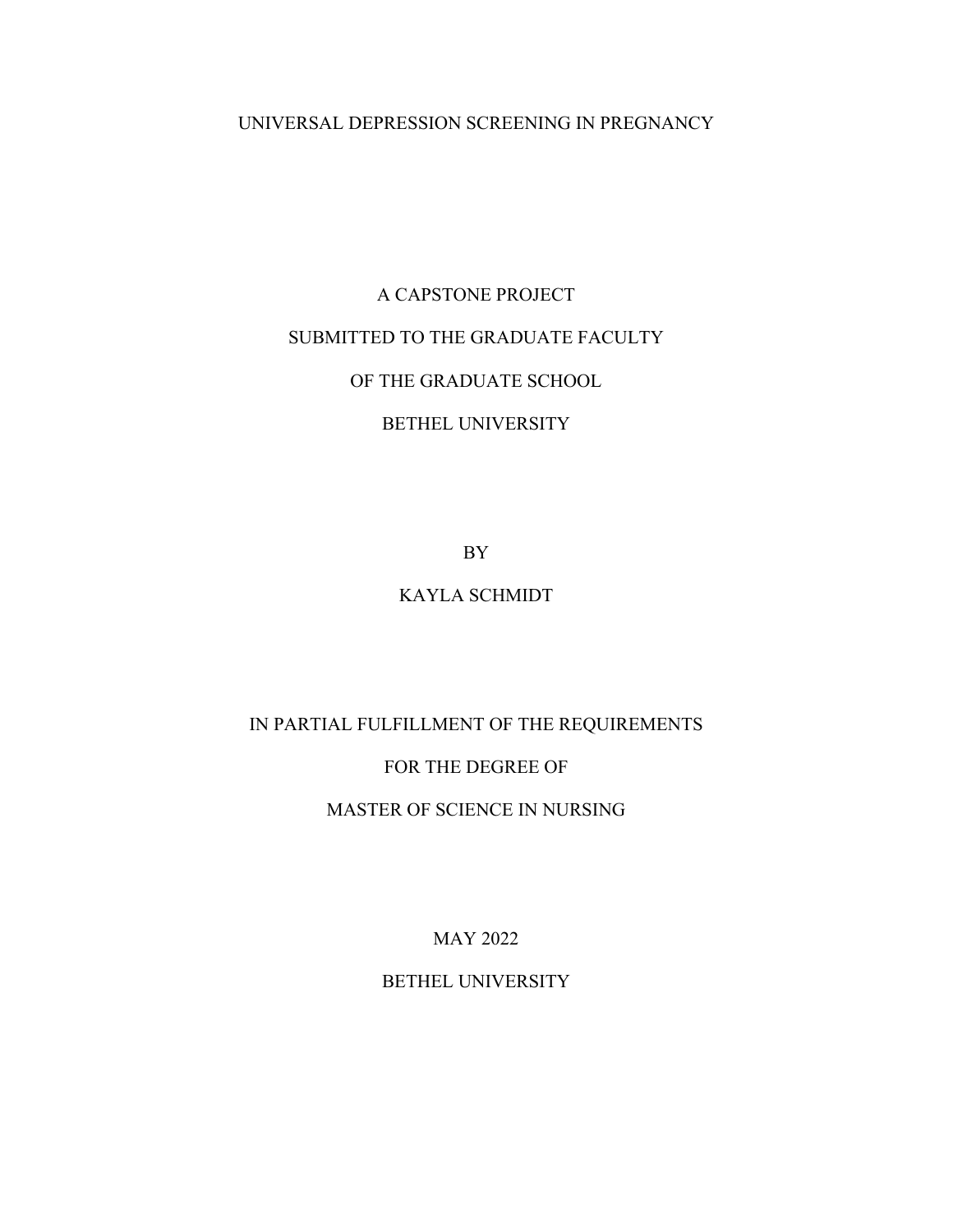## UNIVERSAL DEPRESSION SCREENING IN PREGNANCY

# A CAPSTONE PROJECT SUBMITTED TO THE GRADUATE FACULTY OF THE GRADUATE SCHOOL BETHEL UNIVERSITY

BY

## KAYLA SCHMIDT

## IN PARTIAL FULFILLMENT OF THE REQUIREMENTS

## FOR THE DEGREE OF

## MASTER OF SCIENCE IN NURSING

MAY 2022

BETHEL UNIVERSITY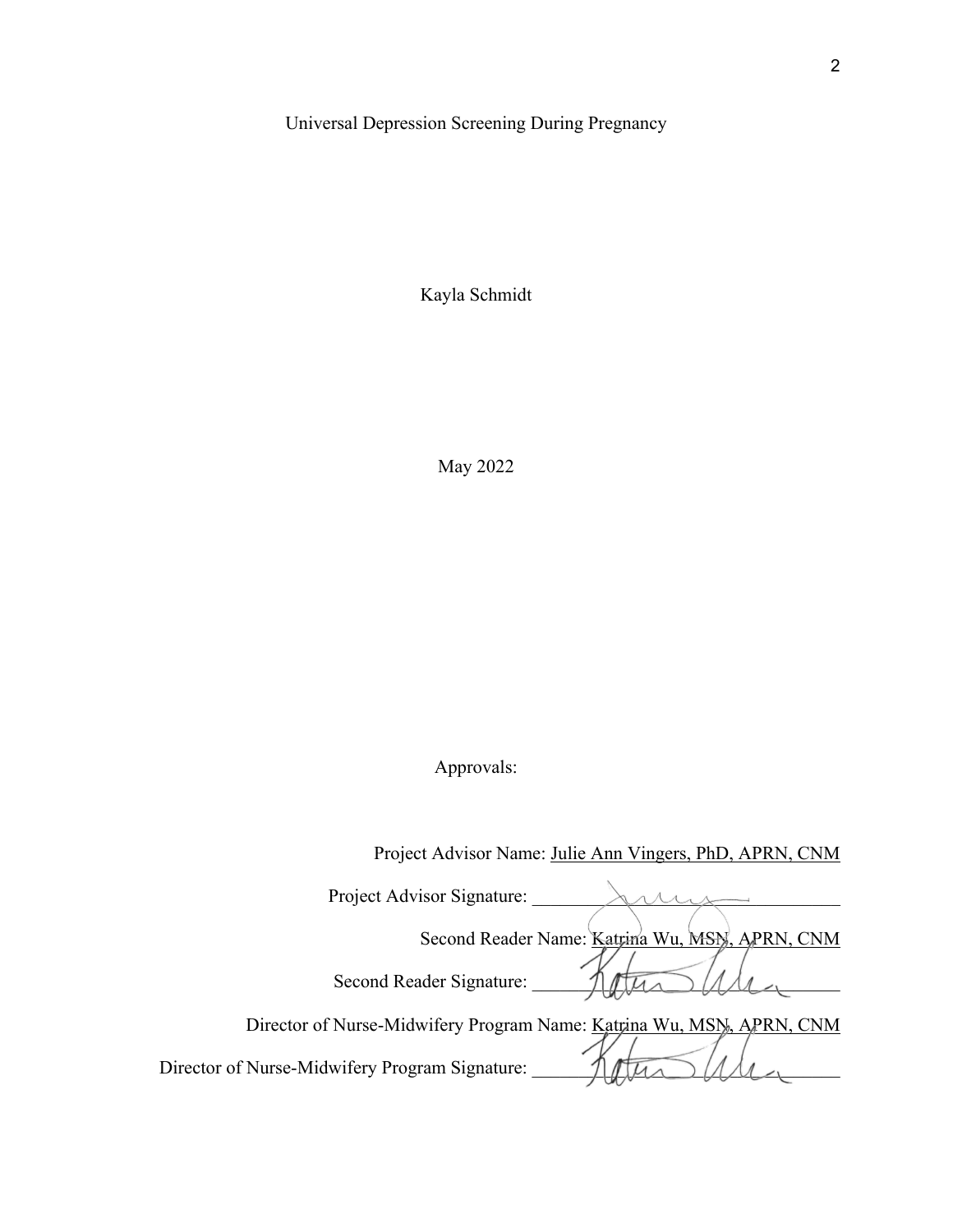#### Universal Depression Screening During Pregnancy

Kayla Schmidt

May 2022

## Approvals:

 Project Advisor Name: Julie Ann Vingers, PhD, APRN, CNM Project Advisor Signature: \_\_\_\_\_\_\_\_\_\_\_\_\_\_\_\_\_\_\_\_\_\_\_\_\_\_\_\_\_\_\_\_\_ Second Reader Name: Katrina Wu, MSN, APRN, CNM Second Reader Signature: \_\_\_\_\_\_\_\_\_\_\_\_\_\_\_\_\_\_\_\_\_\_\_\_\_\_\_\_\_\_\_\_\_ Director of Nurse-Midwifery Program Name: Katrina Wu, MSN, APRN, CNM Director of Nurse-Midwifery Program Signature: \_\_\_\_\_\_\_\_\_\_\_\_\_\_\_\_\_\_\_\_\_\_\_\_\_\_\_\_\_\_\_\_\_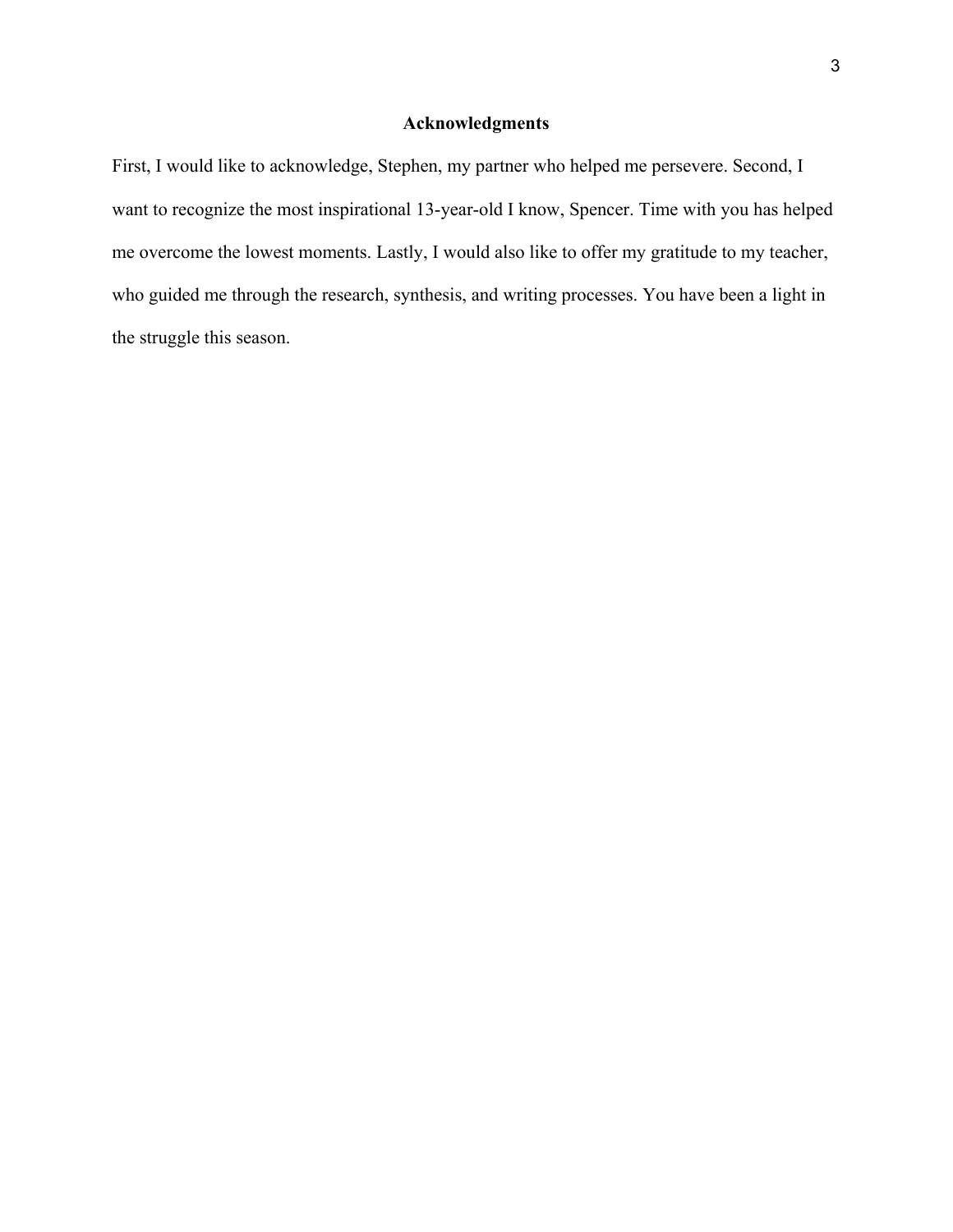## **Acknowledgments**

First, I would like to acknowledge, Stephen, my partner who helped me persevere. Second, I want to recognize the most inspirational 13-year-old I know, Spencer. Time with you has helped me overcome the lowest moments. Lastly, I would also like to offer my gratitude to my teacher, who guided me through the research, synthesis, and writing processes. You have been a light in the struggle this season.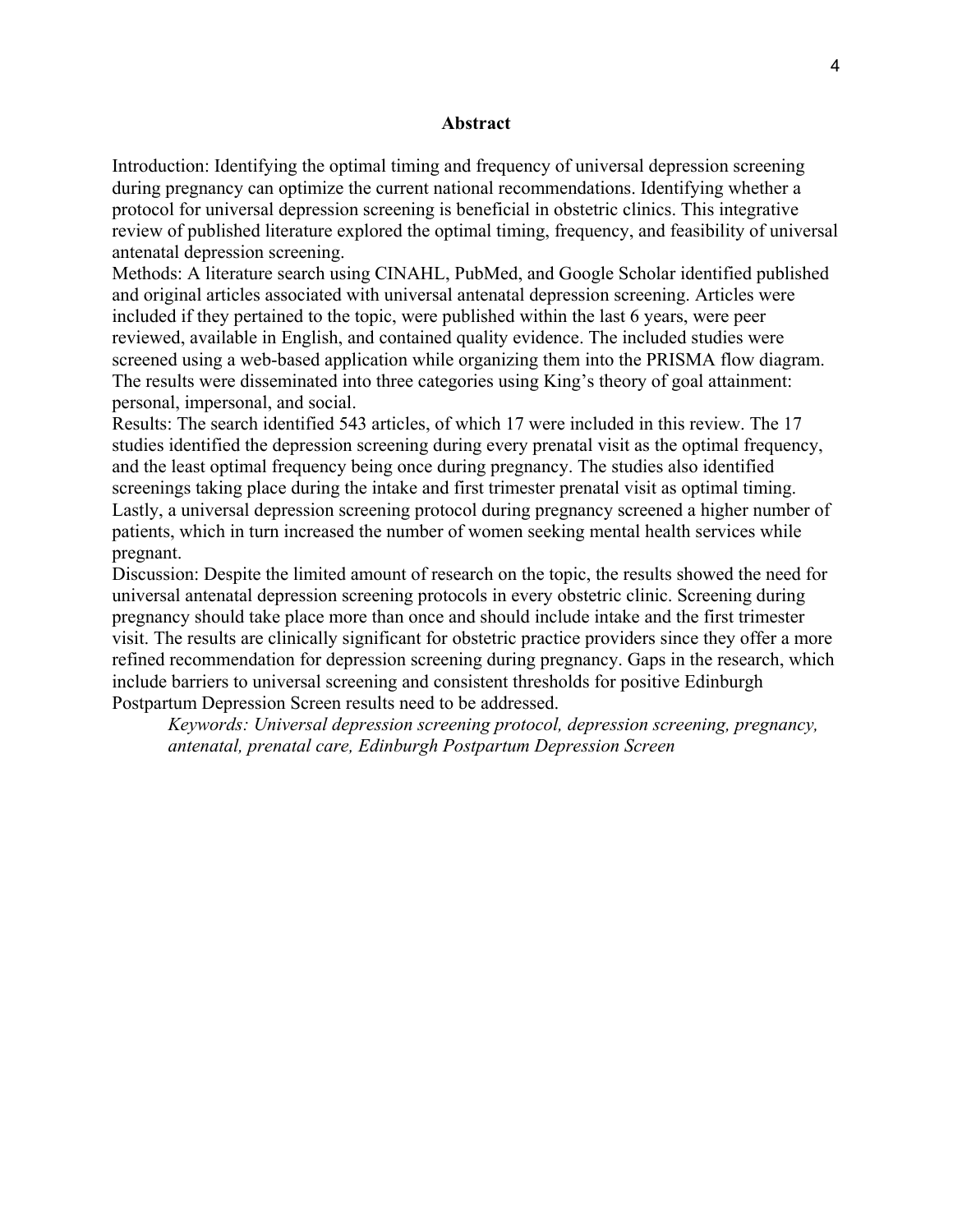#### **Abstract**

Introduction: Identifying the optimal timing and frequency of universal depression screening during pregnancy can optimize the current national recommendations. Identifying whether a protocol for universal depression screening is beneficial in obstetric clinics. This integrative review of published literature explored the optimal timing, frequency, and feasibility of universal antenatal depression screening.

Methods: A literature search using CINAHL, PubMed, and Google Scholar identified published and original articles associated with universal antenatal depression screening. Articles were included if they pertained to the topic, were published within the last 6 years, were peer reviewed, available in English, and contained quality evidence. The included studies were screened using a web-based application while organizing them into the PRISMA flow diagram. The results were disseminated into three categories using King's theory of goal attainment: personal, impersonal, and social.

Results: The search identified 543 articles, of which 17 were included in this review. The 17 studies identified the depression screening during every prenatal visit as the optimal frequency, and the least optimal frequency being once during pregnancy. The studies also identified screenings taking place during the intake and first trimester prenatal visit as optimal timing. Lastly, a universal depression screening protocol during pregnancy screened a higher number of patients, which in turn increased the number of women seeking mental health services while pregnant.

Discussion: Despite the limited amount of research on the topic, the results showed the need for universal antenatal depression screening protocols in every obstetric clinic. Screening during pregnancy should take place more than once and should include intake and the first trimester visit. The results are clinically significant for obstetric practice providers since they offer a more refined recommendation for depression screening during pregnancy. Gaps in the research, which include barriers to universal screening and consistent thresholds for positive Edinburgh Postpartum Depression Screen results need to be addressed.

*Keywords: Universal depression screening protocol, depression screening, pregnancy, antenatal, prenatal care, Edinburgh Postpartum Depression Screen*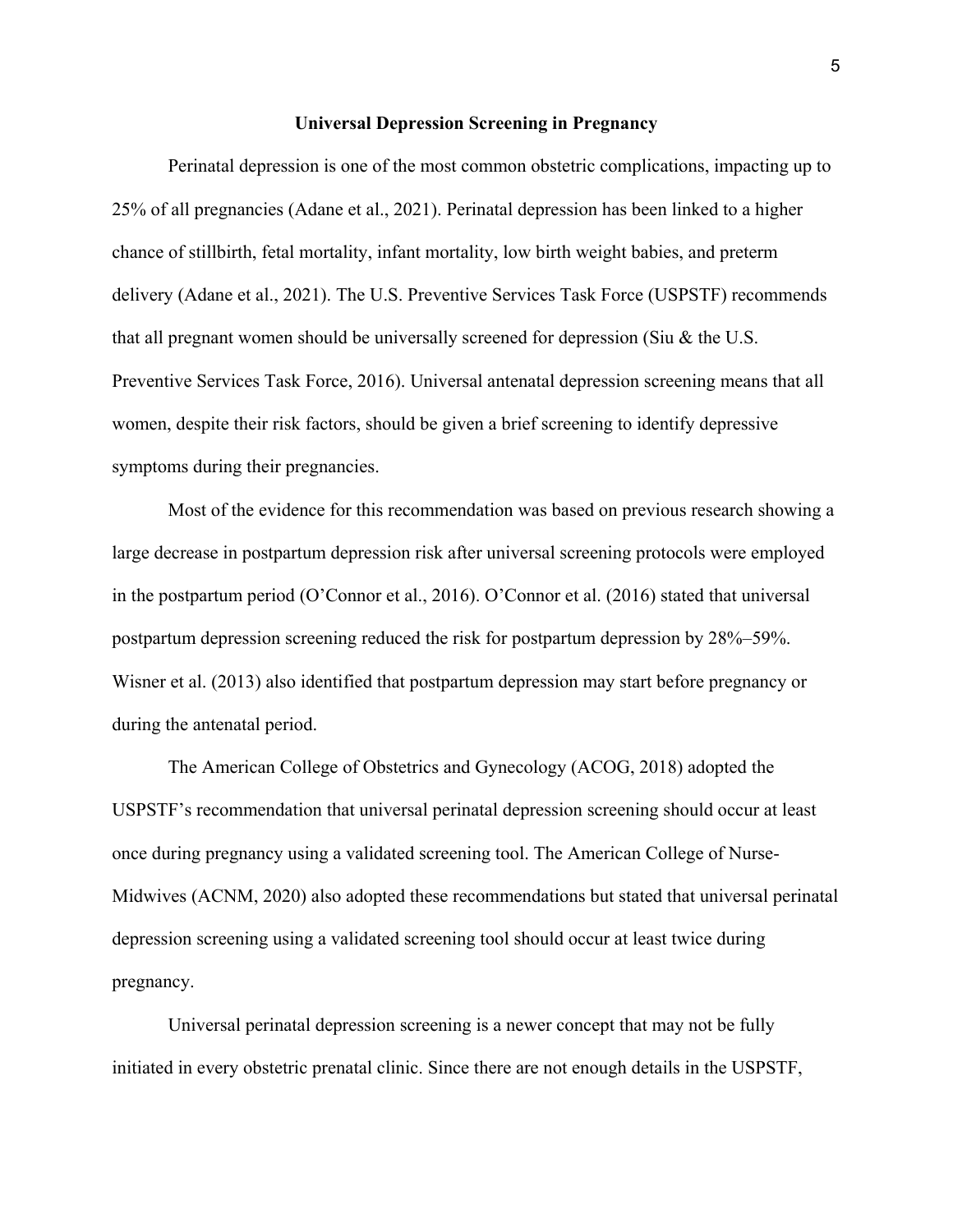#### **Universal Depression Screening in Pregnancy**

Perinatal depression is one of the most common obstetric complications, impacting up to 25% of all pregnancies (Adane et al., 2021). Perinatal depression has been linked to a higher chance of stillbirth, fetal mortality, infant mortality, low birth weight babies, and preterm delivery (Adane et al., 2021). The U.S. Preventive Services Task Force (USPSTF) recommends that all pregnant women should be universally screened for depression (Siu & the U.S. Preventive Services Task Force, 2016). Universal antenatal depression screening means that all women, despite their risk factors, should be given a brief screening to identify depressive symptoms during their pregnancies.

Most of the evidence for this recommendation was based on previous research showing a large decrease in postpartum depression risk after universal screening protocols were employed in the postpartum period (O'Connor et al., 2016). O'Connor et al. (2016) stated that universal postpartum depression screening reduced the risk for postpartum depression by 28%–59%. Wisner et al. (2013) also identified that postpartum depression may start before pregnancy or during the antenatal period.

The American College of Obstetrics and Gynecology (ACOG, 2018) adopted the USPSTF's recommendation that universal perinatal depression screening should occur at least once during pregnancy using a validated screening tool. The American College of Nurse-Midwives (ACNM, 2020) also adopted these recommendations but stated that universal perinatal depression screening using a validated screening tool should occur at least twice during pregnancy.

Universal perinatal depression screening is a newer concept that may not be fully initiated in every obstetric prenatal clinic. Since there are not enough details in the USPSTF,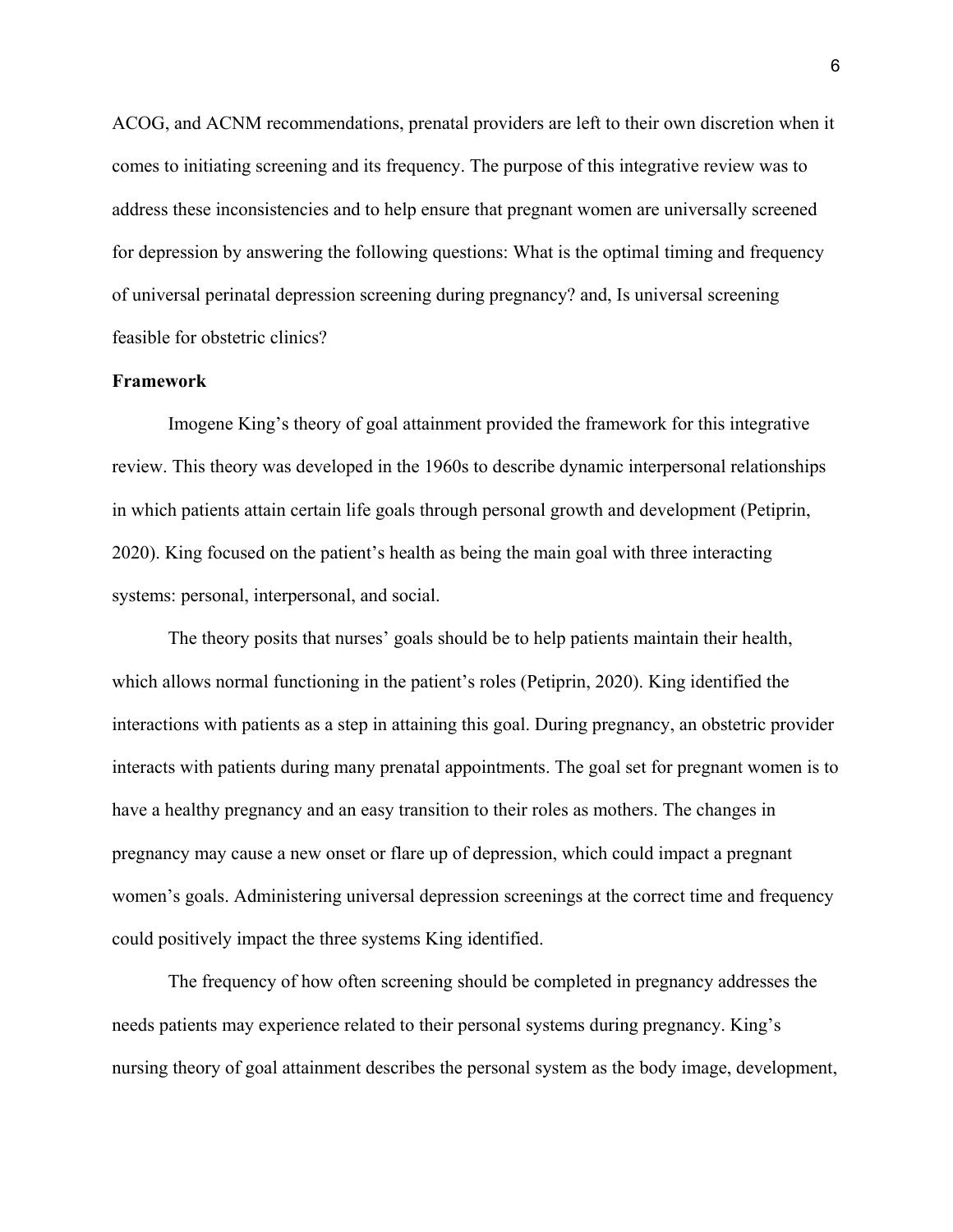ACOG, and ACNM recommendations, prenatal providers are left to their own discretion when it comes to initiating screening and its frequency. The purpose of this integrative review was to address these inconsistencies and to help ensure that pregnant women are universally screened for depression by answering the following questions: What is the optimal timing and frequency of universal perinatal depression screening during pregnancy? and, Is universal screening feasible for obstetric clinics?

#### **Framework**

Imogene King's theory of goal attainment provided the framework for this integrative review. This theory was developed in the 1960s to describe dynamic interpersonal relationships in which patients attain certain life goals through personal growth and development (Petiprin, 2020). King focused on the patient's health as being the main goal with three interacting systems: personal, interpersonal, and social.

The theory posits that nurses' goals should be to help patients maintain their health, which allows normal functioning in the patient's roles (Petiprin, 2020). King identified the interactions with patients as a step in attaining this goal. During pregnancy, an obstetric provider interacts with patients during many prenatal appointments. The goal set for pregnant women is to have a healthy pregnancy and an easy transition to their roles as mothers. The changes in pregnancy may cause a new onset or flare up of depression, which could impact a pregnant women's goals. Administering universal depression screenings at the correct time and frequency could positively impact the three systems King identified.

The frequency of how often screening should be completed in pregnancy addresses the needs patients may experience related to their personal systems during pregnancy. King's nursing theory of goal attainment describes the personal system as the body image, development,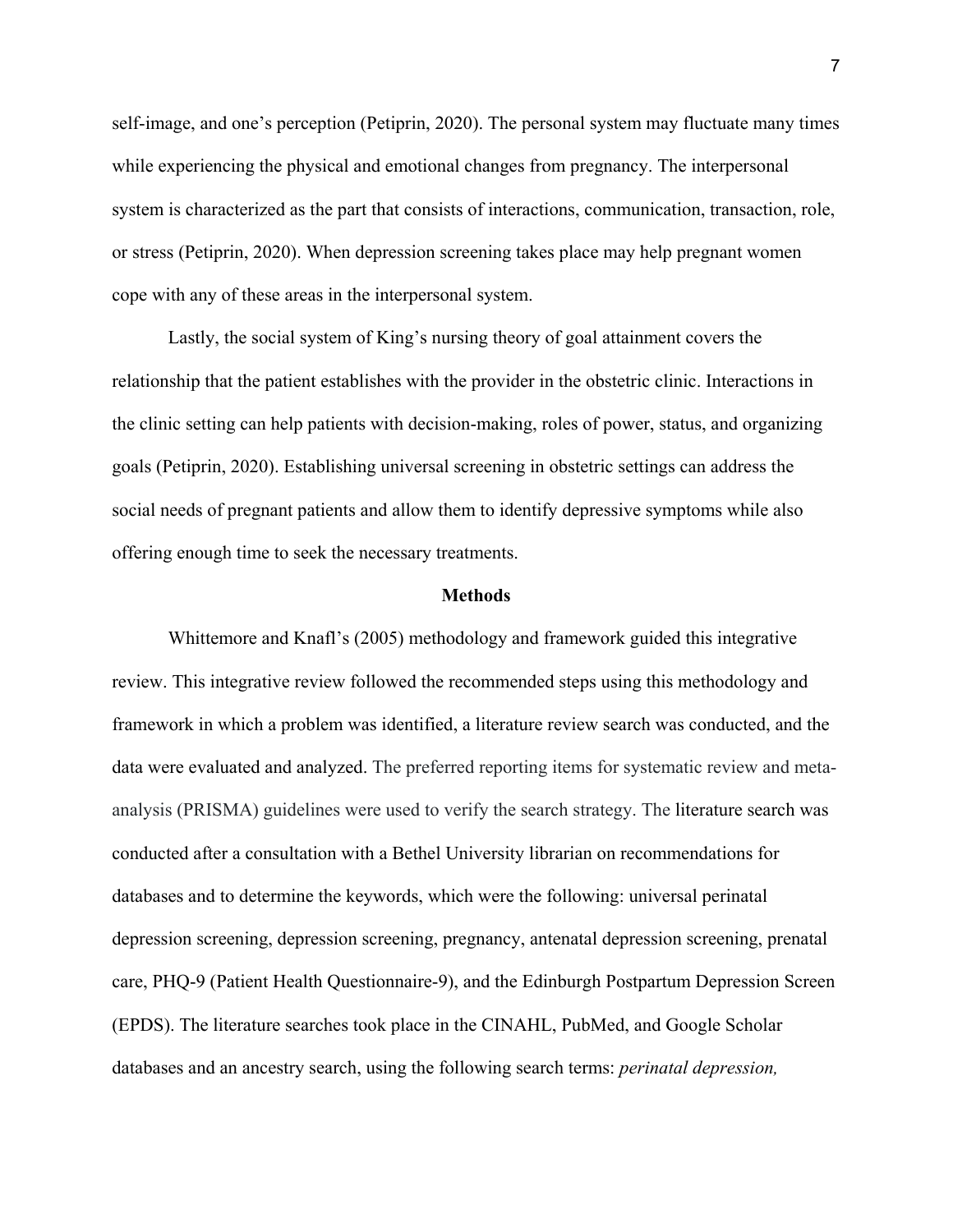self-image, and one's perception (Petiprin, 2020). The personal system may fluctuate many times while experiencing the physical and emotional changes from pregnancy. The interpersonal system is characterized as the part that consists of interactions, communication, transaction, role, or stress (Petiprin, 2020). When depression screening takes place may help pregnant women cope with any of these areas in the interpersonal system.

Lastly, the social system of King's nursing theory of goal attainment covers the relationship that the patient establishes with the provider in the obstetric clinic. Interactions in the clinic setting can help patients with decision-making, roles of power, status, and organizing goals (Petiprin, 2020). Establishing universal screening in obstetric settings can address the social needs of pregnant patients and allow them to identify depressive symptoms while also offering enough time to seek the necessary treatments.

#### **Methods**

Whittemore and Knafl's (2005) methodology and framework guided this integrative review. This integrative review followed the recommended steps using this methodology and framework in which a problem was identified, a literature review search was conducted, and the data were evaluated and analyzed. The preferred reporting items for systematic review and metaanalysis (PRISMA) guidelines were used to verify the search strategy. The literature search was conducted after a consultation with a Bethel University librarian on recommendations for databases and to determine the keywords, which were the following: universal perinatal depression screening, depression screening, pregnancy, antenatal depression screening, prenatal care, PHQ-9 (Patient Health Questionnaire-9), and the Edinburgh Postpartum Depression Screen (EPDS). The literature searches took place in the CINAHL, PubMed, and Google Scholar databases and an ancestry search, using the following search terms: *perinatal depression,*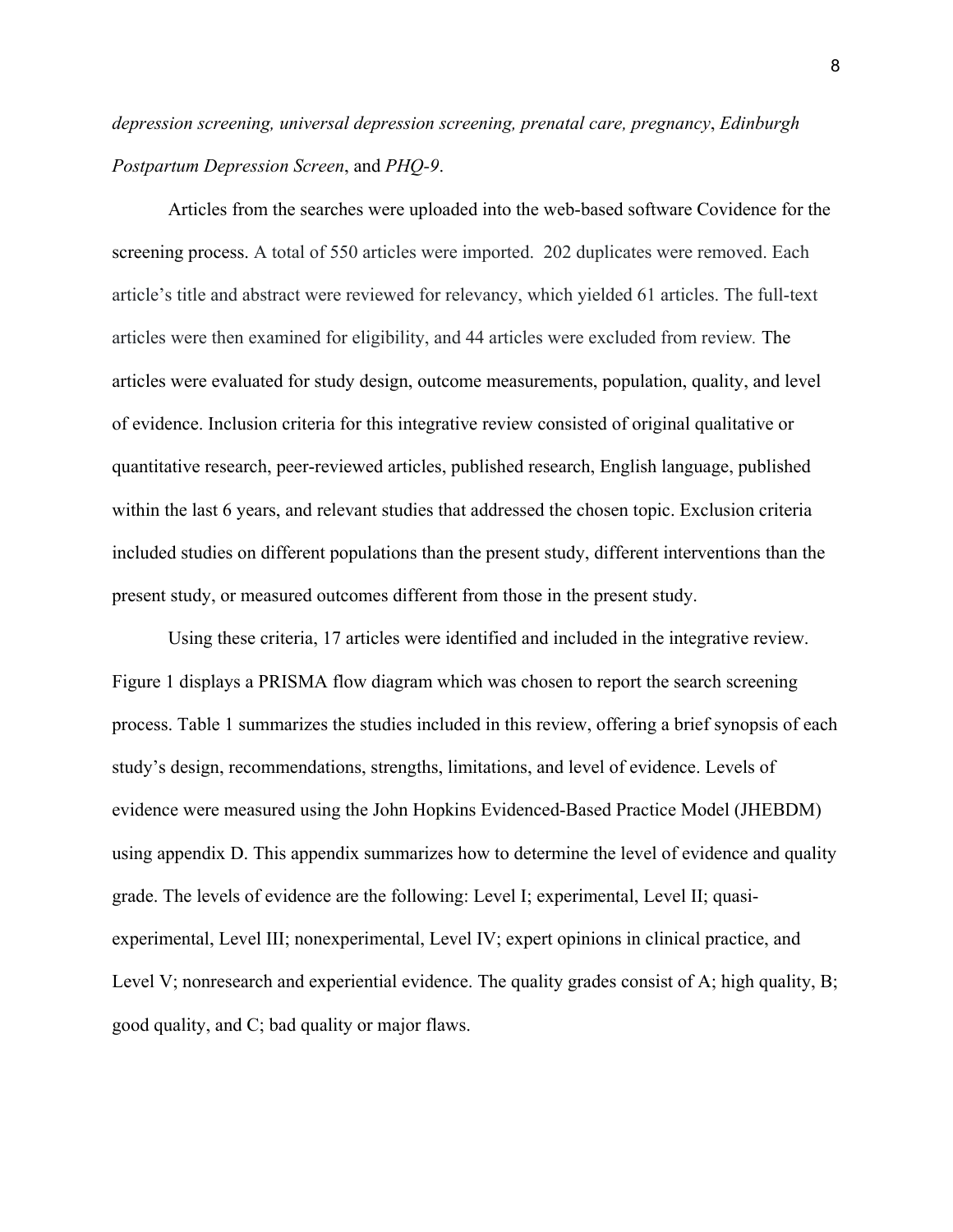*depression screening, universal depression screening, prenatal care, pregnancy*, *Edinburgh Postpartum Depression Screen*, and *PHQ-9*.

Articles from the searches were uploaded into the web-based software Covidence for the screening process. A total of 550 articles were imported. 202 duplicates were removed. Each article's title and abstract were reviewed for relevancy, which yielded 61 articles. The full-text articles were then examined for eligibility, and 44 articles were excluded from review*.* The articles were evaluated for study design, outcome measurements, population, quality, and level of evidence. Inclusion criteria for this integrative review consisted of original qualitative or quantitative research, peer-reviewed articles, published research, English language, published within the last 6 years, and relevant studies that addressed the chosen topic. Exclusion criteria included studies on different populations than the present study, different interventions than the present study, or measured outcomes different from those in the present study.

Using these criteria, 17 articles were identified and included in the integrative review. Figure 1 displays a PRISMA flow diagram which was chosen to report the search screening process. Table 1 summarizes the studies included in this review, offering a brief synopsis of each study's design, recommendations, strengths, limitations, and level of evidence. Levels of evidence were measured using the John Hopkins Evidenced-Based Practice Model (JHEBDM) using appendix D. This appendix summarizes how to determine the level of evidence and quality grade. The levels of evidence are the following: Level I; experimental, Level II; quasiexperimental, Level III; nonexperimental, Level IV; expert opinions in clinical practice, and Level V; nonresearch and experiential evidence. The quality grades consist of A; high quality, B; good quality, and C; bad quality or major flaws.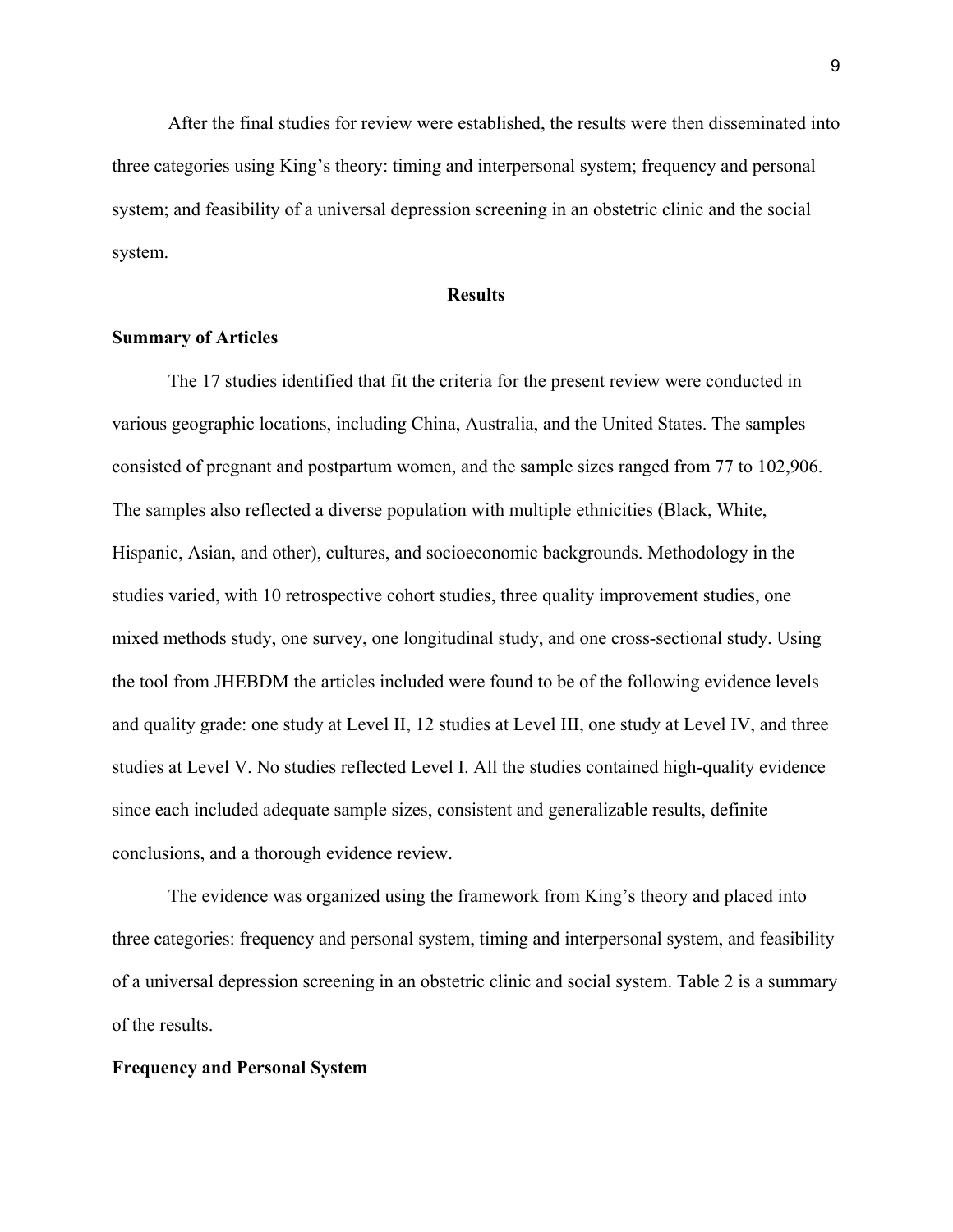After the final studies for review were established, the results were then disseminated into three categories using King's theory: timing and interpersonal system; frequency and personal system; and feasibility of a universal depression screening in an obstetric clinic and the social system.

#### **Results**

#### **Summary of Articles**

The 17 studies identified that fit the criteria for the present review were conducted in various geographic locations, including China, Australia, and the United States. The samples consisted of pregnant and postpartum women, and the sample sizes ranged from 77 to 102,906. The samples also reflected a diverse population with multiple ethnicities (Black, White, Hispanic, Asian, and other), cultures, and socioeconomic backgrounds. Methodology in the studies varied, with 10 retrospective cohort studies, three quality improvement studies, one mixed methods study, one survey, one longitudinal study, and one cross-sectional study. Using the tool from JHEBDM the articles included were found to be of the following evidence levels and quality grade: one study at Level II, 12 studies at Level III, one study at Level IV, and three studies at Level V. No studies reflected Level I. All the studies contained high-quality evidence since each included adequate sample sizes, consistent and generalizable results, definite conclusions, and a thorough evidence review.

The evidence was organized using the framework from King's theory and placed into three categories: frequency and personal system, timing and interpersonal system, and feasibility of a universal depression screening in an obstetric clinic and social system. Table 2 is a summary of the results.

#### **Frequency and Personal System**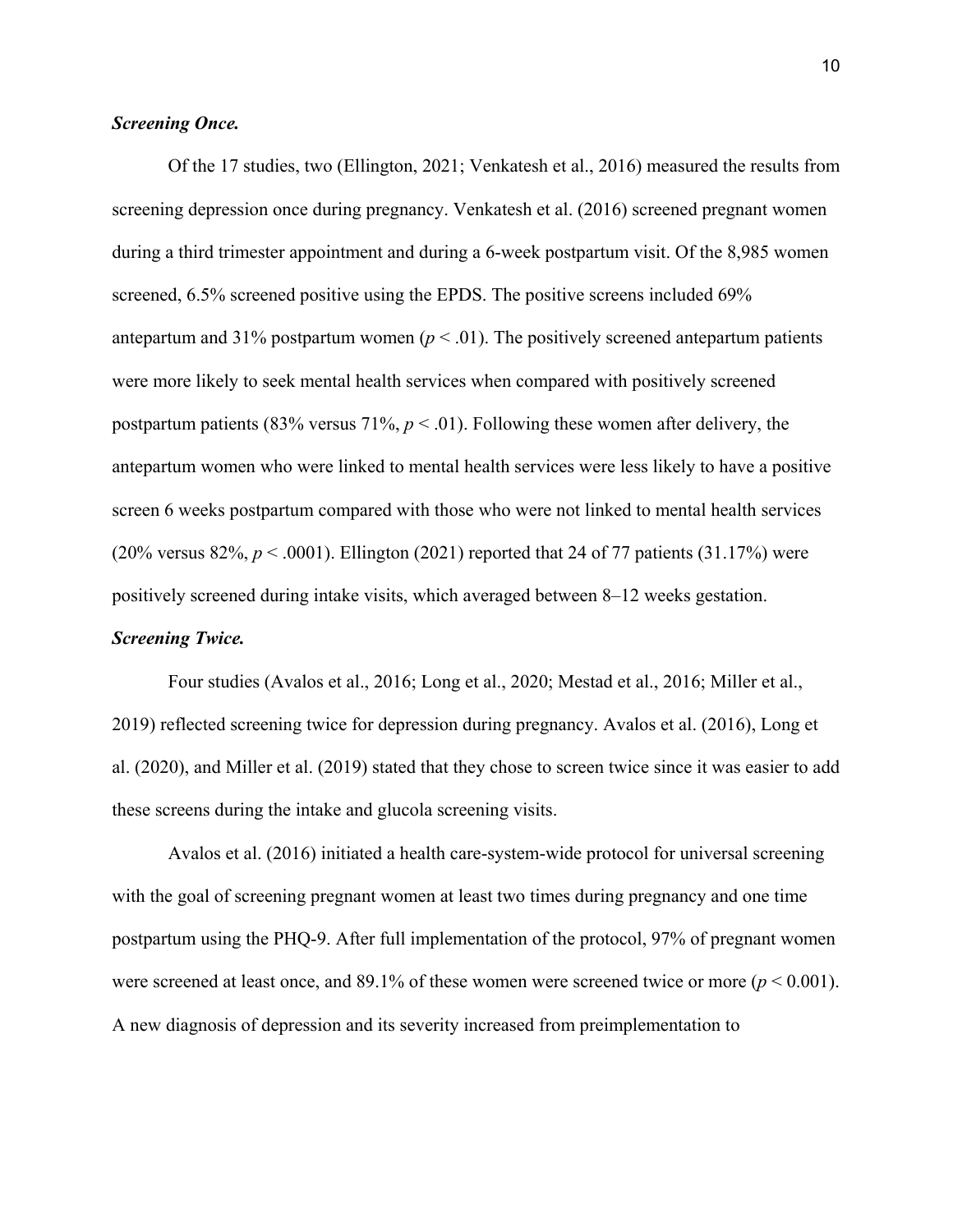#### *Screening Once.*

Of the 17 studies, two (Ellington, 2021; Venkatesh et al., 2016) measured the results from screening depression once during pregnancy. Venkatesh et al. (2016) screened pregnant women during a third trimester appointment and during a 6-week postpartum visit. Of the 8,985 women screened, 6.5% screened positive using the EPDS. The positive screens included 69% antepartum and 31% postpartum women  $(p < .01)$ . The positively screened antepartum patients were more likely to seek mental health services when compared with positively screened postpartum patients (83% versus 71%,  $p < .01$ ). Following these women after delivery, the antepartum women who were linked to mental health services were less likely to have a positive screen 6 weeks postpartum compared with those who were not linked to mental health services (20% versus 82%,  $p < .0001$ ). Ellington (2021) reported that 24 of 77 patients (31.17%) were positively screened during intake visits, which averaged between 8–12 weeks gestation.

### *Screening Twice.*

Four studies (Avalos et al., 2016; Long et al., 2020; Mestad et al., 2016; Miller et al., 2019) reflected screening twice for depression during pregnancy. Avalos et al. (2016), Long et al. (2020), and Miller et al. (2019) stated that they chose to screen twice since it was easier to add these screens during the intake and glucola screening visits.

Avalos et al. (2016) initiated a health care-system-wide protocol for universal screening with the goal of screening pregnant women at least two times during pregnancy and one time postpartum using the PHQ-9. After full implementation of the protocol, 97% of pregnant women were screened at least once, and  $89.1\%$  of these women were screened twice or more ( $p < 0.001$ ). A new diagnosis of depression and its severity increased from preimplementation to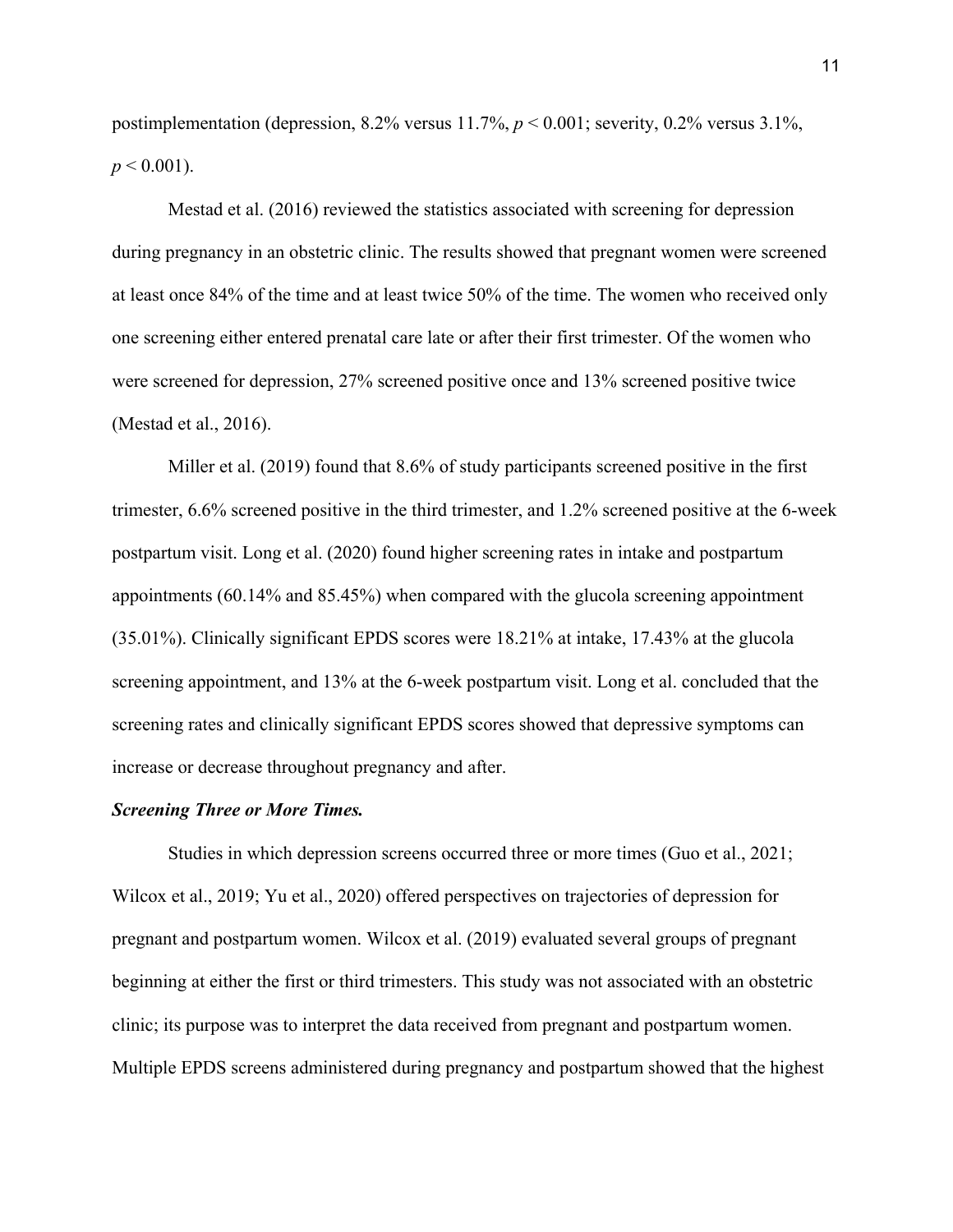postimplementation (depression,  $8.2\%$  versus  $11.7\%$ ,  $p < 0.001$ ; severity,  $0.2\%$  versus  $3.1\%$ ,  $p < 0.001$ ).

Mestad et al. (2016) reviewed the statistics associated with screening for depression during pregnancy in an obstetric clinic. The results showed that pregnant women were screened at least once 84% of the time and at least twice 50% of the time. The women who received only one screening either entered prenatal care late or after their first trimester. Of the women who were screened for depression, 27% screened positive once and 13% screened positive twice (Mestad et al., 2016).

Miller et al. (2019) found that 8.6% of study participants screened positive in the first trimester, 6.6% screened positive in the third trimester, and 1.2% screened positive at the 6-week postpartum visit. Long et al. (2020) found higher screening rates in intake and postpartum appointments (60.14% and 85.45%) when compared with the glucola screening appointment (35.01%). Clinically significant EPDS scores were 18.21% at intake, 17.43% at the glucola screening appointment, and 13% at the 6-week postpartum visit. Long et al. concluded that the screening rates and clinically significant EPDS scores showed that depressive symptoms can increase or decrease throughout pregnancy and after.

#### *Screening Three or More Times.*

Studies in which depression screens occurred three or more times (Guo et al., 2021; Wilcox et al., 2019; Yu et al., 2020) offered perspectives on trajectories of depression for pregnant and postpartum women. Wilcox et al. (2019) evaluated several groups of pregnant beginning at either the first or third trimesters. This study was not associated with an obstetric clinic; its purpose was to interpret the data received from pregnant and postpartum women. Multiple EPDS screens administered during pregnancy and postpartum showed that the highest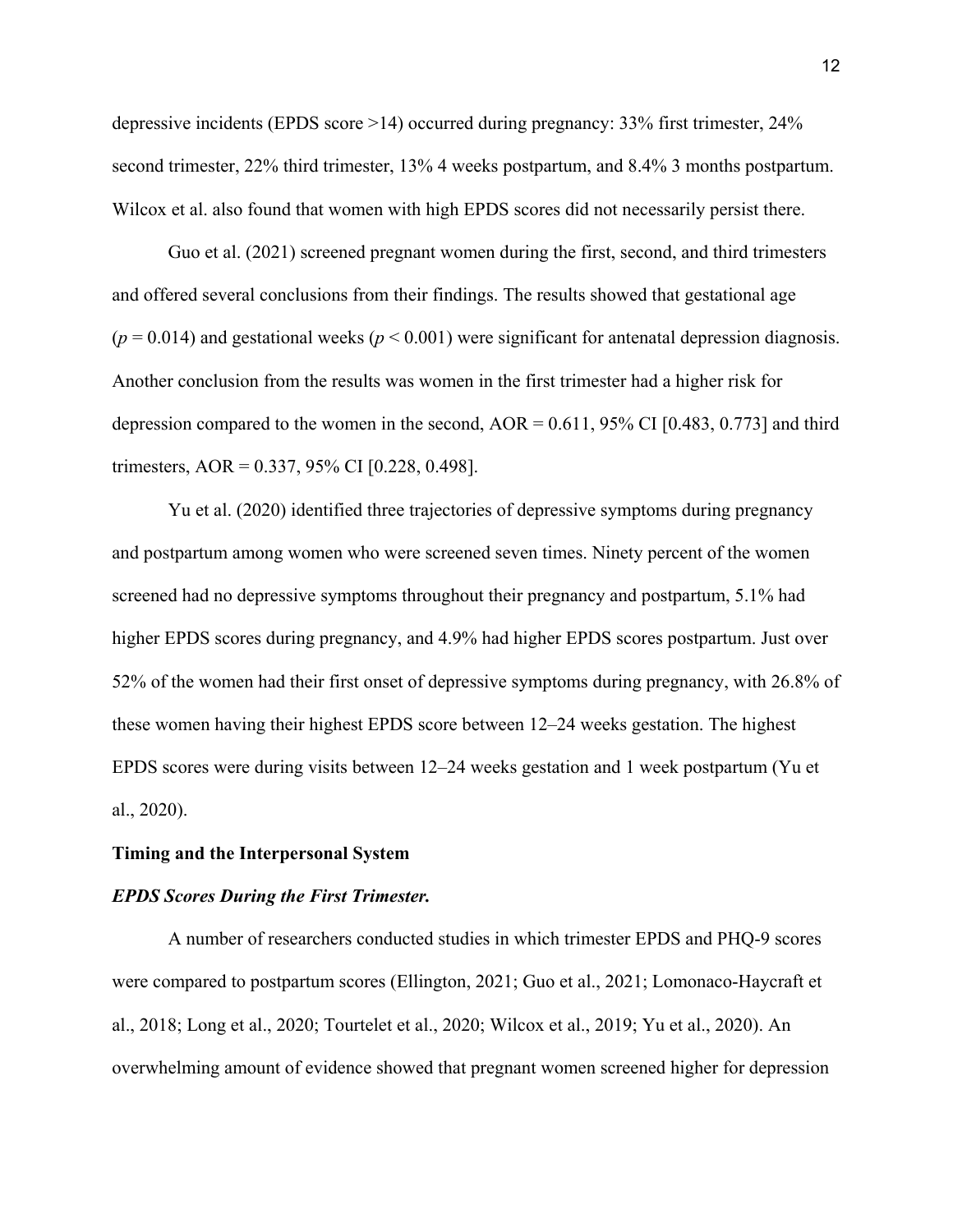depressive incidents (EPDS score >14) occurred during pregnancy: 33% first trimester, 24% second trimester, 22% third trimester, 13% 4 weeks postpartum, and 8.4% 3 months postpartum. Wilcox et al. also found that women with high EPDS scores did not necessarily persist there.

Guo et al. (2021) screened pregnant women during the first, second, and third trimesters and offered several conclusions from their findings. The results showed that gestational age  $(p = 0.014)$  and gestational weeks  $(p < 0.001)$  were significant for antenatal depression diagnosis. Another conclusion from the results was women in the first trimester had a higher risk for depression compared to the women in the second,  $AOR = 0.611$ , 95% CI [0.483, 0.773] and third trimesters, AOR = 0.337, 95% CI [0.228, 0.498].

Yu et al. (2020) identified three trajectories of depressive symptoms during pregnancy and postpartum among women who were screened seven times. Ninety percent of the women screened had no depressive symptoms throughout their pregnancy and postpartum, 5.1% had higher EPDS scores during pregnancy, and 4.9% had higher EPDS scores postpartum. Just over 52% of the women had their first onset of depressive symptoms during pregnancy, with 26.8% of these women having their highest EPDS score between 12–24 weeks gestation. The highest EPDS scores were during visits between 12–24 weeks gestation and 1 week postpartum (Yu et al., 2020).

#### **Timing and the Interpersonal System**

#### *EPDS Scores During the First Trimester.*

A number of researchers conducted studies in which trimester EPDS and PHQ-9 scores were compared to postpartum scores (Ellington, 2021; Guo et al., 2021; Lomonaco-Haycraft et al., 2018; Long et al., 2020; Tourtelet et al., 2020; Wilcox et al., 2019; Yu et al., 2020). An overwhelming amount of evidence showed that pregnant women screened higher for depression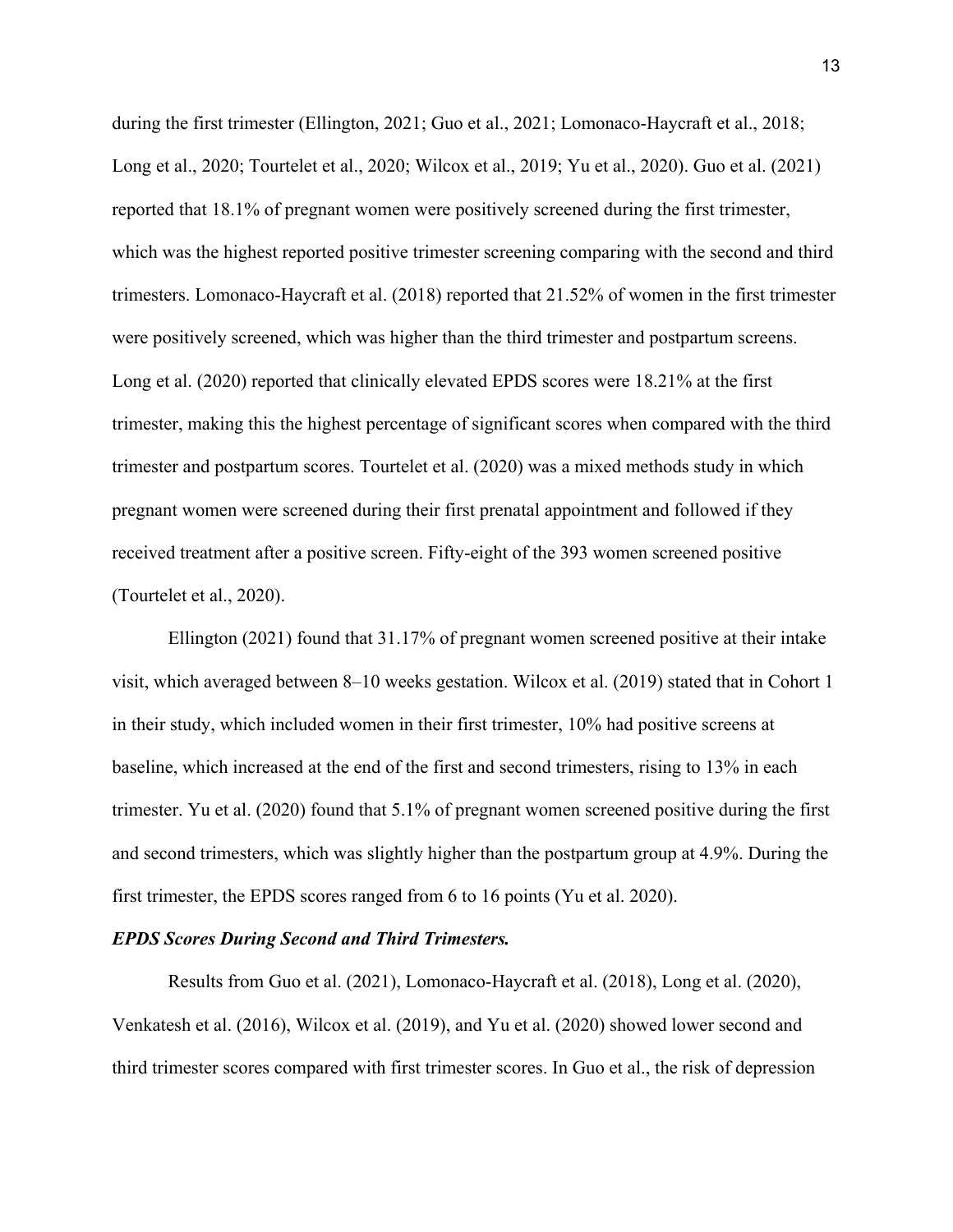during the first trimester (Ellington, 2021; Guo et al., 2021; Lomonaco-Haycraft et al., 2018; Long et al., 2020; Tourtelet et al., 2020; Wilcox et al., 2019; Yu et al., 2020). Guo et al. (2021) reported that 18.1% of pregnant women were positively screened during the first trimester, which was the highest reported positive trimester screening comparing with the second and third trimesters. Lomonaco-Haycraft et al. (2018) reported that 21.52% of women in the first trimester were positively screened, which was higher than the third trimester and postpartum screens. Long et al. (2020) reported that clinically elevated EPDS scores were 18.21% at the first trimester, making this the highest percentage of significant scores when compared with the third trimester and postpartum scores. Tourtelet et al. (2020) was a mixed methods study in which pregnant women were screened during their first prenatal appointment and followed if they received treatment after a positive screen. Fifty-eight of the 393 women screened positive (Tourtelet et al., 2020).

Ellington (2021) found that 31.17% of pregnant women screened positive at their intake visit, which averaged between 8–10 weeks gestation. Wilcox et al. (2019) stated that in Cohort 1 in their study, which included women in their first trimester, 10% had positive screens at baseline, which increased at the end of the first and second trimesters, rising to 13% in each trimester. Yu et al. (2020) found that 5.1% of pregnant women screened positive during the first and second trimesters, which was slightly higher than the postpartum group at 4.9%. During the first trimester, the EPDS scores ranged from 6 to 16 points (Yu et al. 2020).

#### *EPDS Scores During Second and Third Trimesters.*

Results from Guo et al. (2021), Lomonaco-Haycraft et al. (2018), Long et al. (2020), Venkatesh et al. (2016), Wilcox et al. (2019), and Yu et al. (2020) showed lower second and third trimester scores compared with first trimester scores. In Guo et al., the risk of depression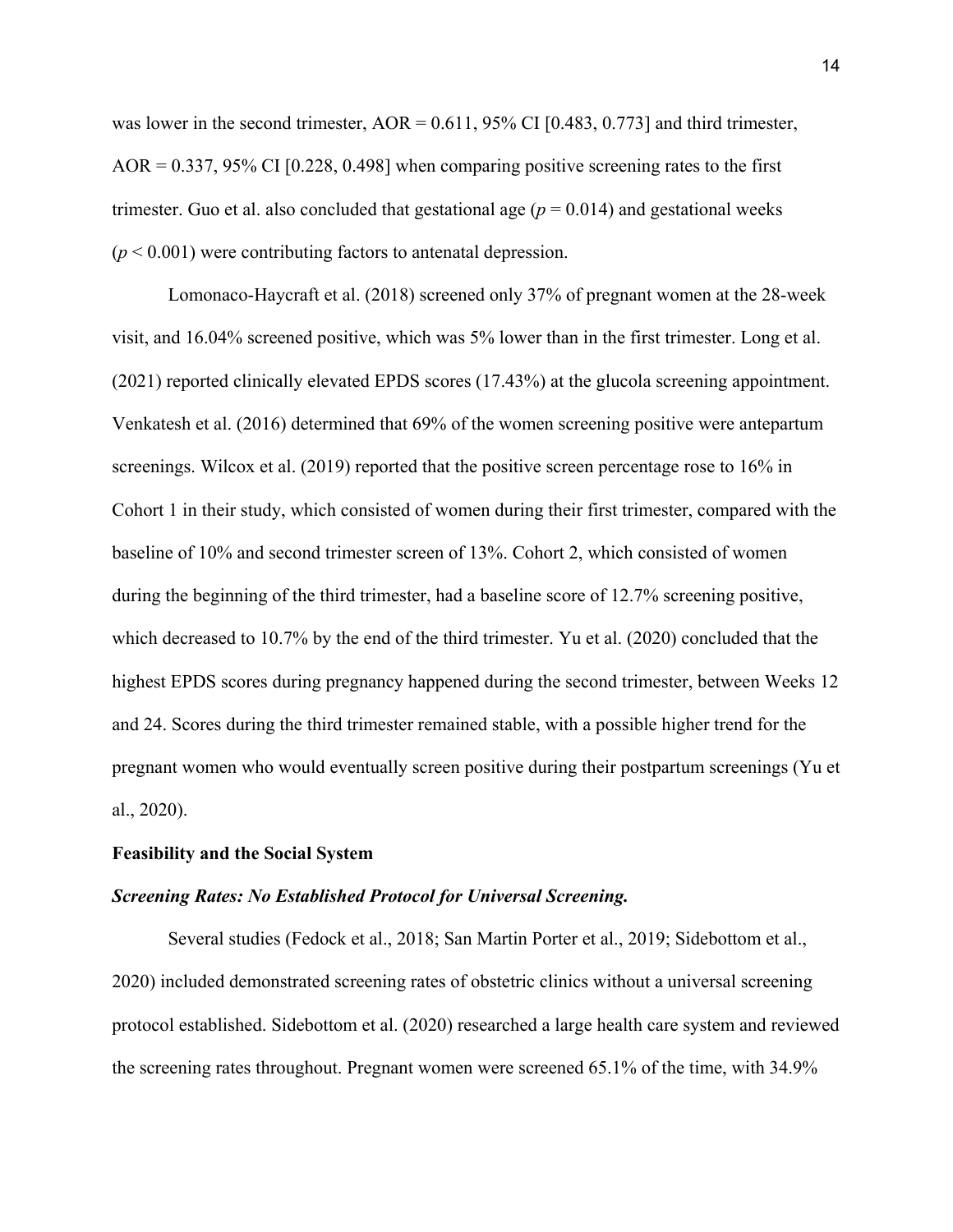was lower in the second trimester,  $AOR = 0.611$ , 95% CI [0.483, 0.773] and third trimester,  $AOR = 0.337, 95\% \text{ CI}$  [0.228, 0.498] when comparing positive screening rates to the first trimester. Guo et al. also concluded that gestational age  $(p = 0.014)$  and gestational weeks  $(p < 0.001)$  were contributing factors to antenatal depression.

Lomonaco-Haycraft et al. (2018) screened only 37% of pregnant women at the 28-week visit, and 16.04% screened positive, which was 5% lower than in the first trimester. Long et al. (2021) reported clinically elevated EPDS scores (17.43%) at the glucola screening appointment. Venkatesh et al. (2016) determined that 69% of the women screening positive were antepartum screenings. Wilcox et al. (2019) reported that the positive screen percentage rose to 16% in Cohort 1 in their study, which consisted of women during their first trimester, compared with the baseline of 10% and second trimester screen of 13%. Cohort 2, which consisted of women during the beginning of the third trimester, had a baseline score of 12.7% screening positive, which decreased to 10.7% by the end of the third trimester. Yu et al. (2020) concluded that the highest EPDS scores during pregnancy happened during the second trimester, between Weeks 12 and 24. Scores during the third trimester remained stable, with a possible higher trend for the pregnant women who would eventually screen positive during their postpartum screenings (Yu et al., 2020).

#### **Feasibility and the Social System**

#### *Screening Rates: No Established Protocol for Universal Screening.*

Several studies (Fedock et al., 2018; San Martin Porter et al., 2019; Sidebottom et al., 2020) included demonstrated screening rates of obstetric clinics without a universal screening protocol established. Sidebottom et al. (2020) researched a large health care system and reviewed the screening rates throughout. Pregnant women were screened 65.1% of the time, with 34.9%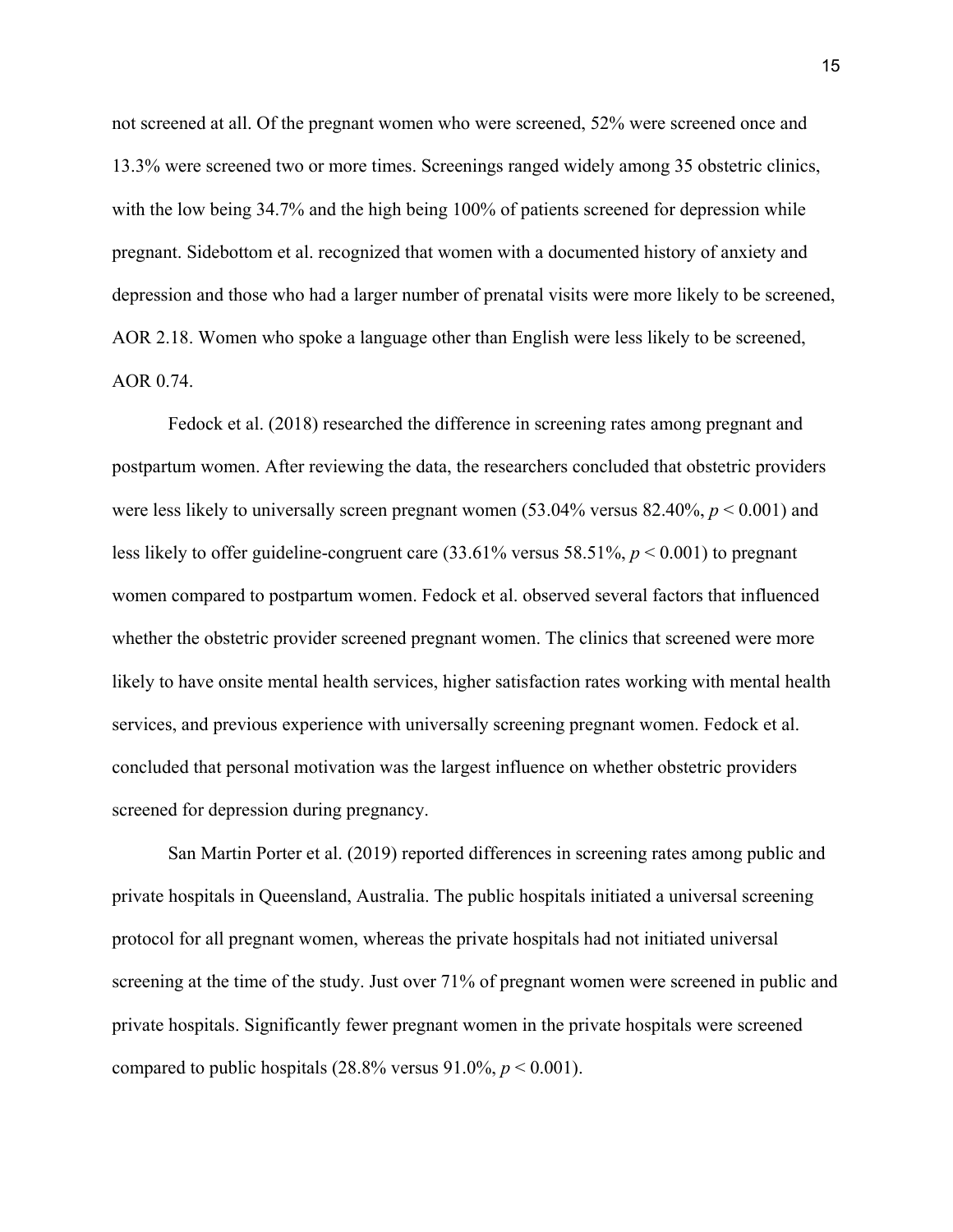not screened at all. Of the pregnant women who were screened, 52% were screened once and 13.3% were screened two or more times. Screenings ranged widely among 35 obstetric clinics, with the low being 34.7% and the high being 100% of patients screened for depression while pregnant. Sidebottom et al. recognized that women with a documented history of anxiety and depression and those who had a larger number of prenatal visits were more likely to be screened, AOR 2.18. Women who spoke a language other than English were less likely to be screened, AOR 0.74.

Fedock et al. (2018) researched the difference in screening rates among pregnant and postpartum women. After reviewing the data, the researchers concluded that obstetric providers were less likely to universally screen pregnant women (53.04% versus 82.40%, *p* < 0.001) and less likely to offer guideline-congruent care (33.61% versus 58.51%, *p* < 0.001) to pregnant women compared to postpartum women. Fedock et al. observed several factors that influenced whether the obstetric provider screened pregnant women. The clinics that screened were more likely to have onsite mental health services, higher satisfaction rates working with mental health services, and previous experience with universally screening pregnant women. Fedock et al. concluded that personal motivation was the largest influence on whether obstetric providers screened for depression during pregnancy.

San Martin Porter et al. (2019) reported differences in screening rates among public and private hospitals in Queensland, Australia. The public hospitals initiated a universal screening protocol for all pregnant women, whereas the private hospitals had not initiated universal screening at the time of the study. Just over 71% of pregnant women were screened in public and private hospitals. Significantly fewer pregnant women in the private hospitals were screened compared to public hospitals  $(28.8\%$  versus  $91.0\%$ ,  $p < 0.001$ ).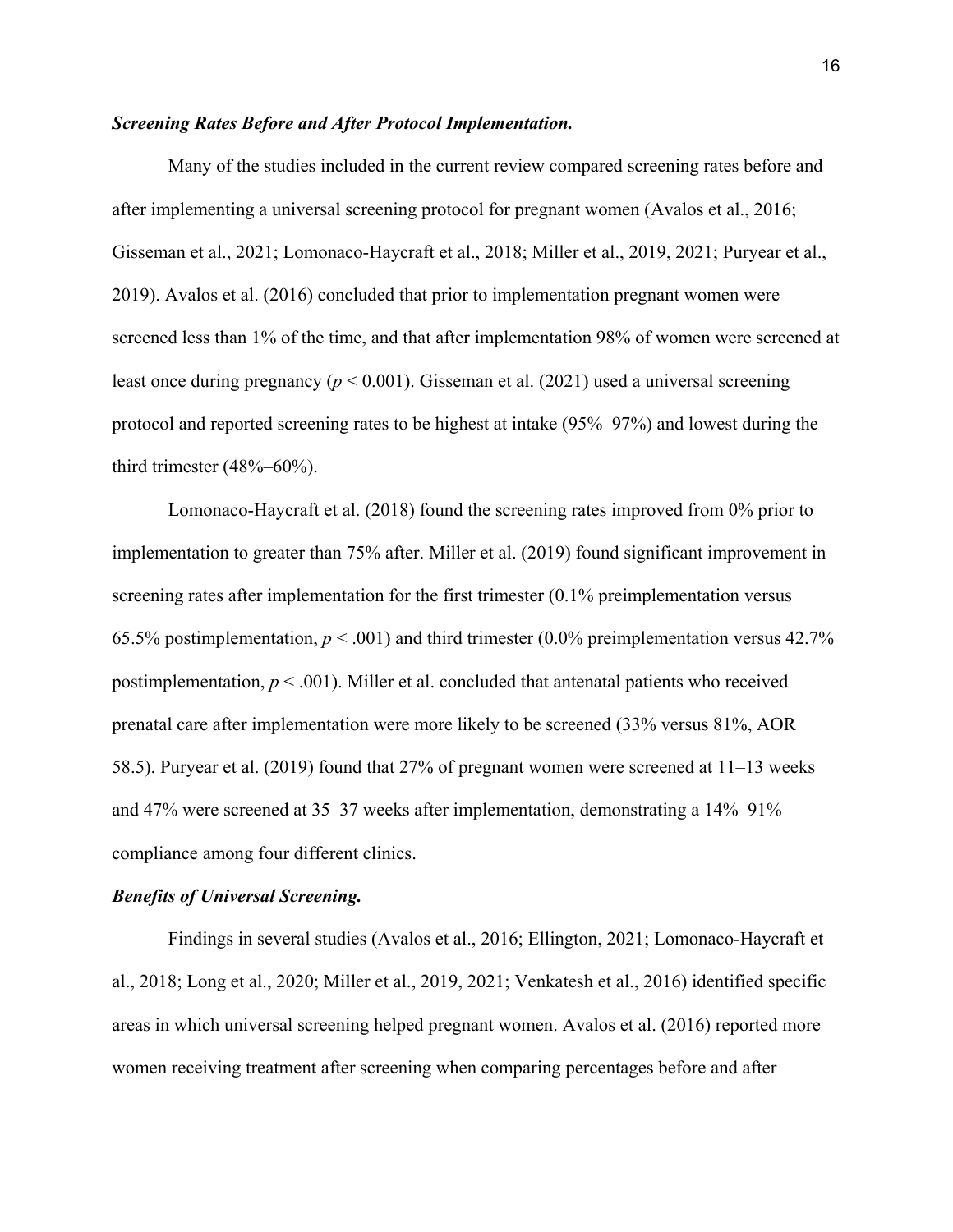#### *Screening Rates Before and After Protocol Implementation.*

Many of the studies included in the current review compared screening rates before and after implementing a universal screening protocol for pregnant women (Avalos et al., 2016; Gisseman et al., 2021; Lomonaco-Haycraft et al., 2018; Miller et al., 2019, 2021; Puryear et al., 2019). Avalos et al. (2016) concluded that prior to implementation pregnant women were screened less than 1% of the time, and that after implementation 98% of women were screened at least once during pregnancy (*p* < 0.001). Gisseman et al. (2021) used a universal screening protocol and reported screening rates to be highest at intake (95%–97%) and lowest during the third trimester (48%–60%).

Lomonaco-Haycraft et al. (2018) found the screening rates improved from 0% prior to implementation to greater than 75% after. Miller et al. (2019) found significant improvement in screening rates after implementation for the first trimester (0.1% preimplementation versus 65.5% postimplementation,  $p < .001$ ) and third trimester (0.0% preimplementation versus 42.7% postimplementation, *p* < .001). Miller et al. concluded that antenatal patients who received prenatal care after implementation were more likely to be screened (33% versus 81%, AOR 58.5). Puryear et al. (2019) found that 27% of pregnant women were screened at 11–13 weeks and 47% were screened at 35–37 weeks after implementation, demonstrating a 14%–91% compliance among four different clinics.

#### *Benefits of Universal Screening.*

Findings in several studies (Avalos et al., 2016; Ellington, 2021; Lomonaco-Haycraft et al., 2018; Long et al., 2020; Miller et al., 2019, 2021; Venkatesh et al., 2016) identified specific areas in which universal screening helped pregnant women. Avalos et al. (2016) reported more women receiving treatment after screening when comparing percentages before and after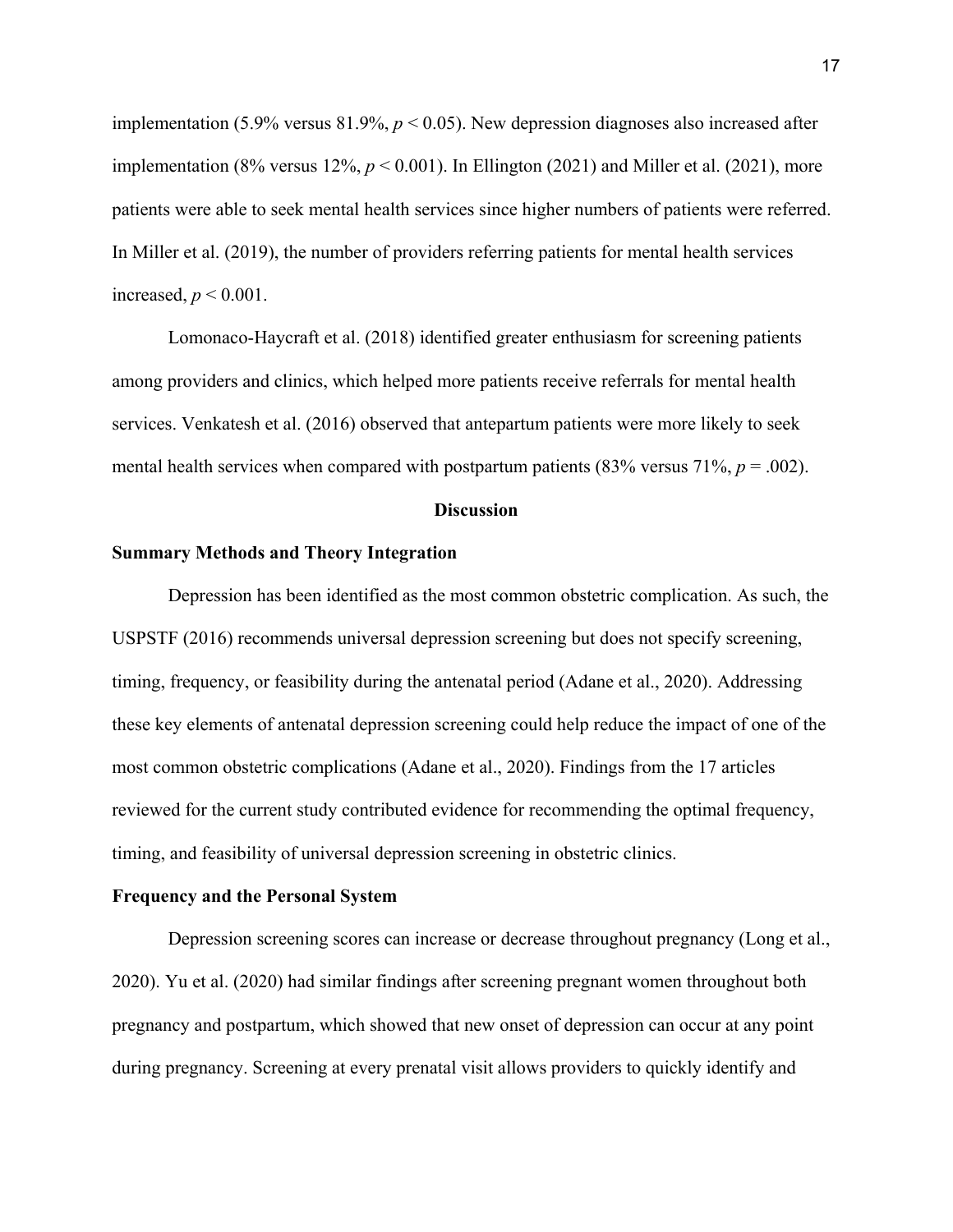implementation (5.9% versus 81.9%,  $p < 0.05$ ). New depression diagnoses also increased after implementation (8% versus  $12\%, p < 0.001$ ). In Ellington (2021) and Miller et al. (2021), more patients were able to seek mental health services since higher numbers of patients were referred. In Miller et al. (2019), the number of providers referring patients for mental health services increased,  $p < 0.001$ .

Lomonaco-Haycraft et al. (2018) identified greater enthusiasm for screening patients among providers and clinics, which helped more patients receive referrals for mental health services. Venkatesh et al. (2016) observed that antepartum patients were more likely to seek mental health services when compared with postpartum patients  $(83\%$  versus  $71\%$ ,  $p = .002$ ).

#### **Discussion**

#### **Summary Methods and Theory Integration**

Depression has been identified as the most common obstetric complication. As such, the USPSTF (2016) recommends universal depression screening but does not specify screening, timing, frequency, or feasibility during the antenatal period (Adane et al., 2020). Addressing these key elements of antenatal depression screening could help reduce the impact of one of the most common obstetric complications (Adane et al., 2020). Findings from the 17 articles reviewed for the current study contributed evidence for recommending the optimal frequency, timing, and feasibility of universal depression screening in obstetric clinics.

#### **Frequency and the Personal System**

Depression screening scores can increase or decrease throughout pregnancy (Long et al., 2020). Yu et al. (2020) had similar findings after screening pregnant women throughout both pregnancy and postpartum, which showed that new onset of depression can occur at any point during pregnancy. Screening at every prenatal visit allows providers to quickly identify and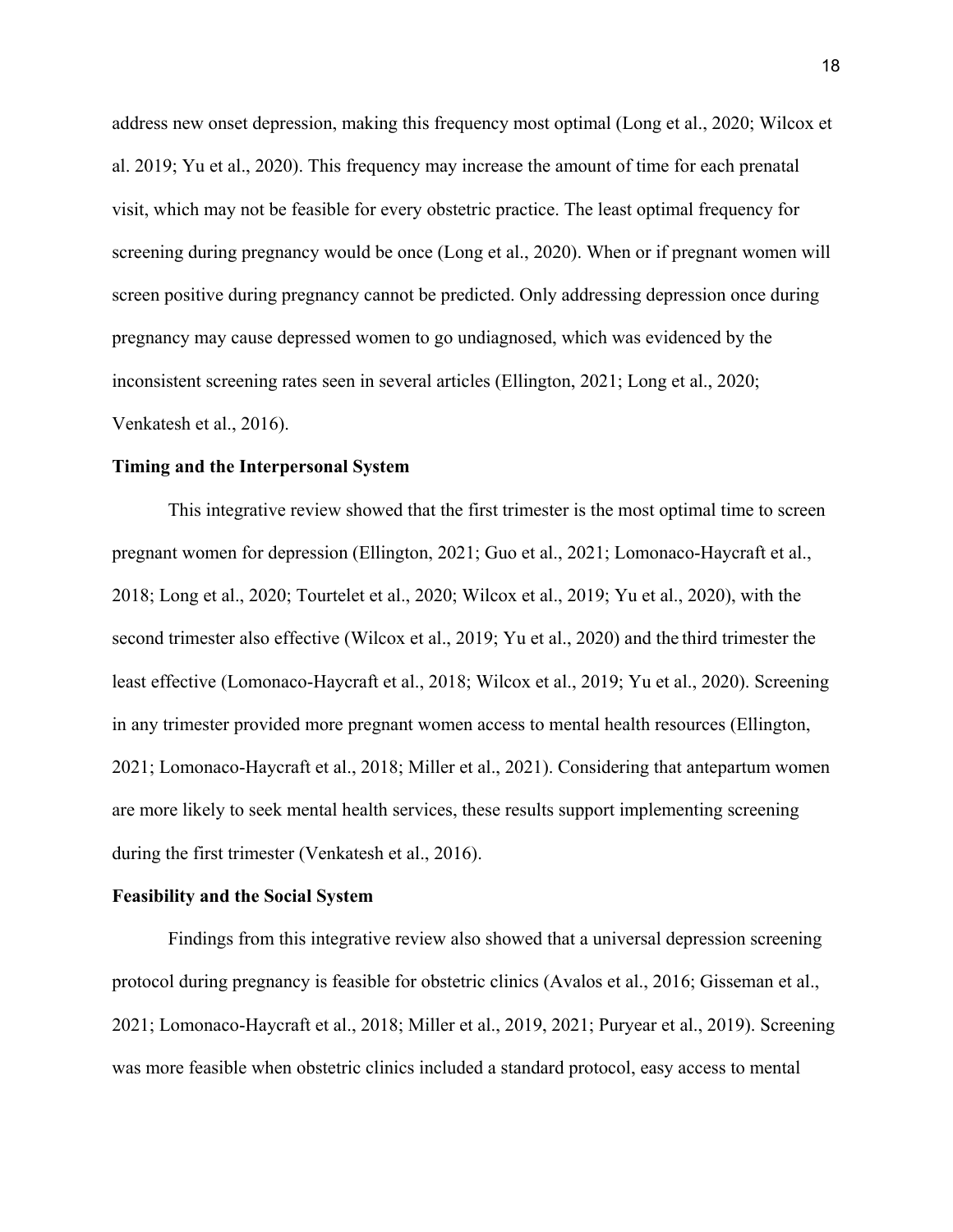address new onset depression, making this frequency most optimal (Long et al., 2020; Wilcox et al. 2019; Yu et al., 2020). This frequency may increase the amount of time for each prenatal visit, which may not be feasible for every obstetric practice. The least optimal frequency for screening during pregnancy would be once (Long et al., 2020). When or if pregnant women will screen positive during pregnancy cannot be predicted. Only addressing depression once during pregnancy may cause depressed women to go undiagnosed, which was evidenced by the inconsistent screening rates seen in several articles (Ellington, 2021; Long et al., 2020; Venkatesh et al., 2016).

#### **Timing and the Interpersonal System**

This integrative review showed that the first trimester is the most optimal time to screen pregnant women for depression (Ellington, 2021; Guo et al., 2021; Lomonaco-Haycraft et al., 2018; Long et al., 2020; Tourtelet et al., 2020; Wilcox et al., 2019; Yu et al., 2020), with the second trimester also effective (Wilcox et al., 2019; Yu et al., 2020) and the third trimester the least effective (Lomonaco-Haycraft et al., 2018; Wilcox et al., 2019; Yu et al., 2020). Screening in any trimester provided more pregnant women access to mental health resources (Ellington, 2021; Lomonaco-Haycraft et al., 2018; Miller et al., 2021). Considering that antepartum women are more likely to seek mental health services, these results support implementing screening during the first trimester (Venkatesh et al., 2016).

#### **Feasibility and the Social System**

Findings from this integrative review also showed that a universal depression screening protocol during pregnancy is feasible for obstetric clinics (Avalos et al., 2016; Gisseman et al., 2021; Lomonaco-Haycraft et al., 2018; Miller et al., 2019, 2021; Puryear et al., 2019). Screening was more feasible when obstetric clinics included a standard protocol, easy access to mental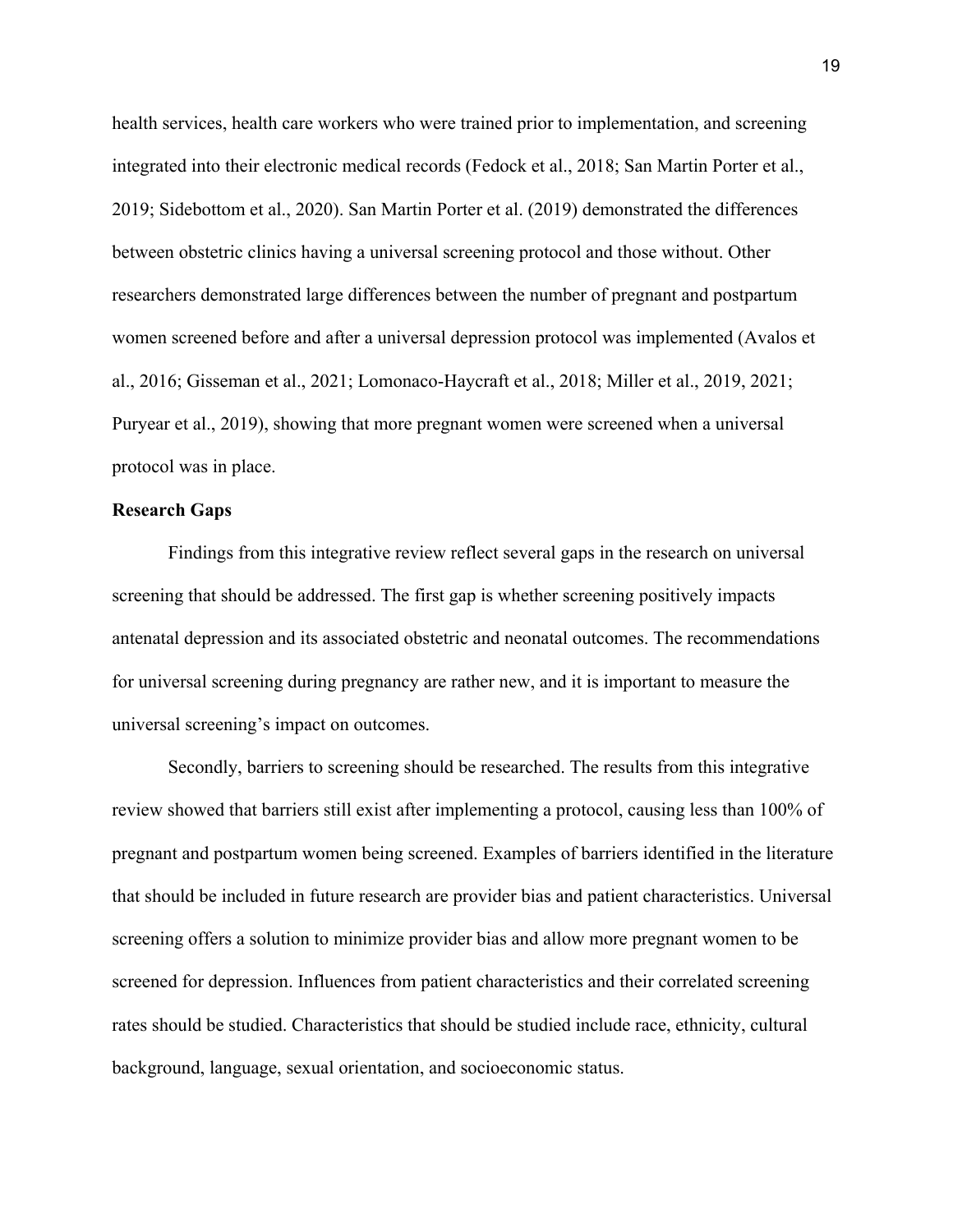health services, health care workers who were trained prior to implementation, and screening integrated into their electronic medical records (Fedock et al., 2018; San Martin Porter et al., 2019; Sidebottom et al., 2020). San Martin Porter et al. (2019) demonstrated the differences between obstetric clinics having a universal screening protocol and those without. Other researchers demonstrated large differences between the number of pregnant and postpartum women screened before and after a universal depression protocol was implemented (Avalos et al., 2016; Gisseman et al., 2021; Lomonaco-Haycraft et al., 2018; Miller et al., 2019, 2021; Puryear et al., 2019), showing that more pregnant women were screened when a universal protocol was in place.

#### **Research Gaps**

Findings from this integrative review reflect several gaps in the research on universal screening that should be addressed. The first gap is whether screening positively impacts antenatal depression and its associated obstetric and neonatal outcomes. The recommendations for universal screening during pregnancy are rather new, and it is important to measure the universal screening's impact on outcomes.

Secondly, barriers to screening should be researched. The results from this integrative review showed that barriers still exist after implementing a protocol, causing less than 100% of pregnant and postpartum women being screened. Examples of barriers identified in the literature that should be included in future research are provider bias and patient characteristics. Universal screening offers a solution to minimize provider bias and allow more pregnant women to be screened for depression. Influences from patient characteristics and their correlated screening rates should be studied. Characteristics that should be studied include race, ethnicity, cultural background, language, sexual orientation, and socioeconomic status.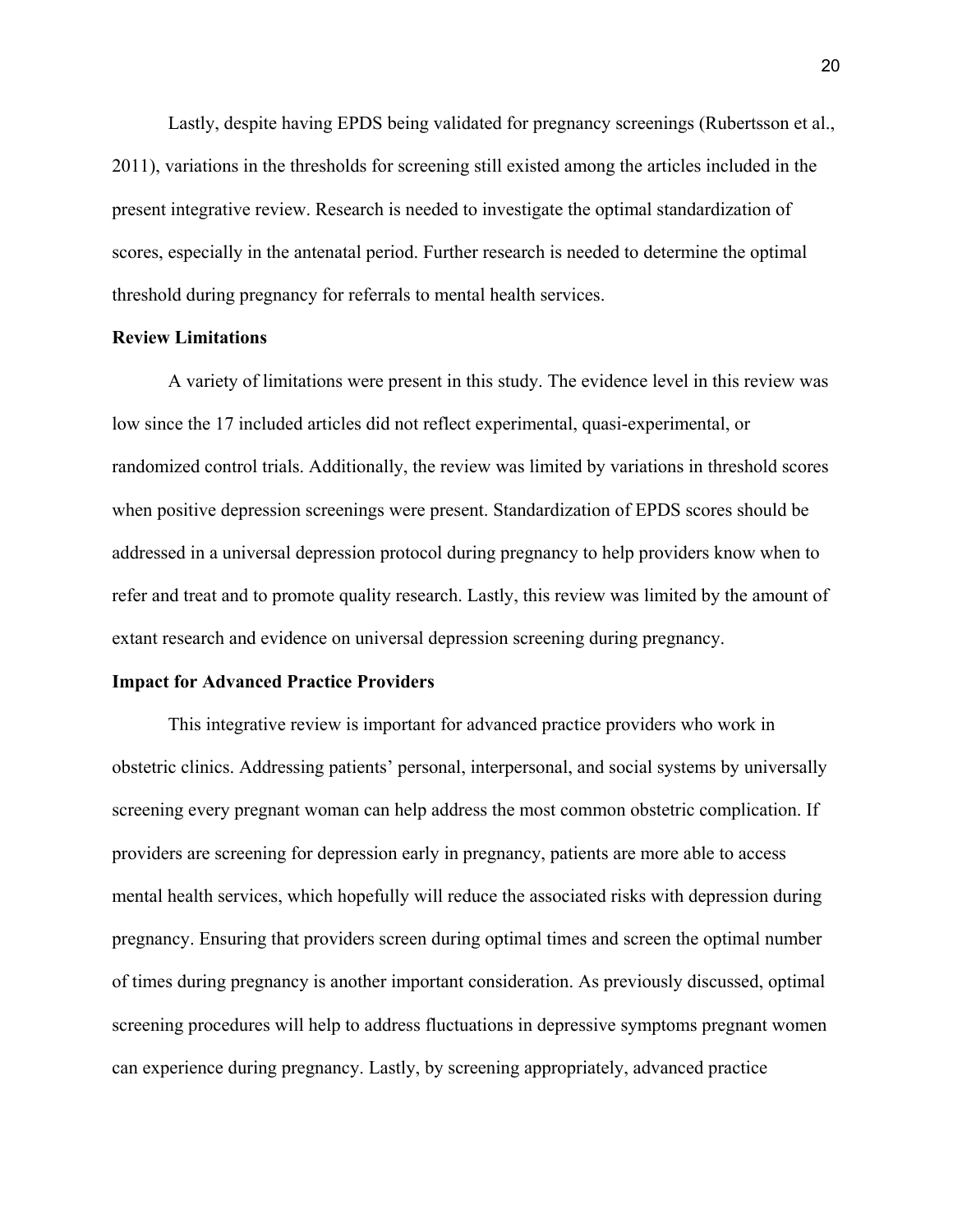Lastly, despite having EPDS being validated for pregnancy screenings (Rubertsson et al., 2011), variations in the thresholds for screening still existed among the articles included in the present integrative review. Research is needed to investigate the optimal standardization of scores, especially in the antenatal period. Further research is needed to determine the optimal threshold during pregnancy for referrals to mental health services.

#### **Review Limitations**

A variety of limitations were present in this study. The evidence level in this review was low since the 17 included articles did not reflect experimental, quasi-experimental, or randomized control trials. Additionally, the review was limited by variations in threshold scores when positive depression screenings were present. Standardization of EPDS scores should be addressed in a universal depression protocol during pregnancy to help providers know when to refer and treat and to promote quality research. Lastly, this review was limited by the amount of extant research and evidence on universal depression screening during pregnancy.

#### **Impact for Advanced Practice Providers**

This integrative review is important for advanced practice providers who work in obstetric clinics. Addressing patients' personal, interpersonal, and social systems by universally screening every pregnant woman can help address the most common obstetric complication. If providers are screening for depression early in pregnancy, patients are more able to access mental health services, which hopefully will reduce the associated risks with depression during pregnancy. Ensuring that providers screen during optimal times and screen the optimal number of times during pregnancy is another important consideration. As previously discussed, optimal screening procedures will help to address fluctuations in depressive symptoms pregnant women can experience during pregnancy. Lastly, by screening appropriately, advanced practice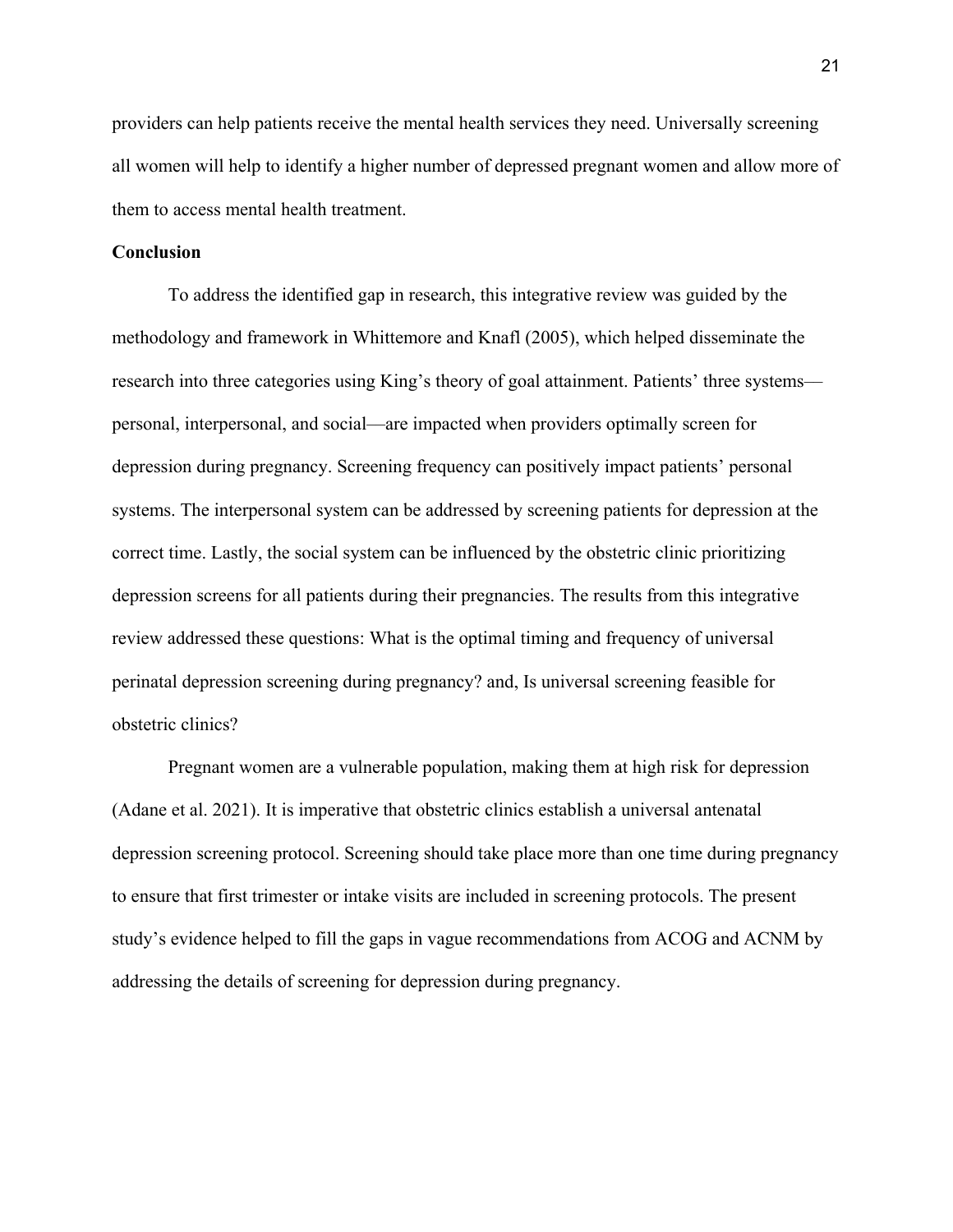providers can help patients receive the mental health services they need. Universally screening all women will help to identify a higher number of depressed pregnant women and allow more of them to access mental health treatment.

#### **Conclusion**

To address the identified gap in research, this integrative review was guided by the methodology and framework in Whittemore and Knafl (2005), which helped disseminate the research into three categories using King's theory of goal attainment. Patients' three systems–– personal, interpersonal, and social––are impacted when providers optimally screen for depression during pregnancy. Screening frequency can positively impact patients' personal systems. The interpersonal system can be addressed by screening patients for depression at the correct time. Lastly, the social system can be influenced by the obstetric clinic prioritizing depression screens for all patients during their pregnancies. The results from this integrative review addressed these questions: What is the optimal timing and frequency of universal perinatal depression screening during pregnancy? and, Is universal screening feasible for obstetric clinics?

Pregnant women are a vulnerable population, making them at high risk for depression (Adane et al. 2021). It is imperative that obstetric clinics establish a universal antenatal depression screening protocol. Screening should take place more than one time during pregnancy to ensure that first trimester or intake visits are included in screening protocols. The present study's evidence helped to fill the gaps in vague recommendations from ACOG and ACNM by addressing the details of screening for depression during pregnancy.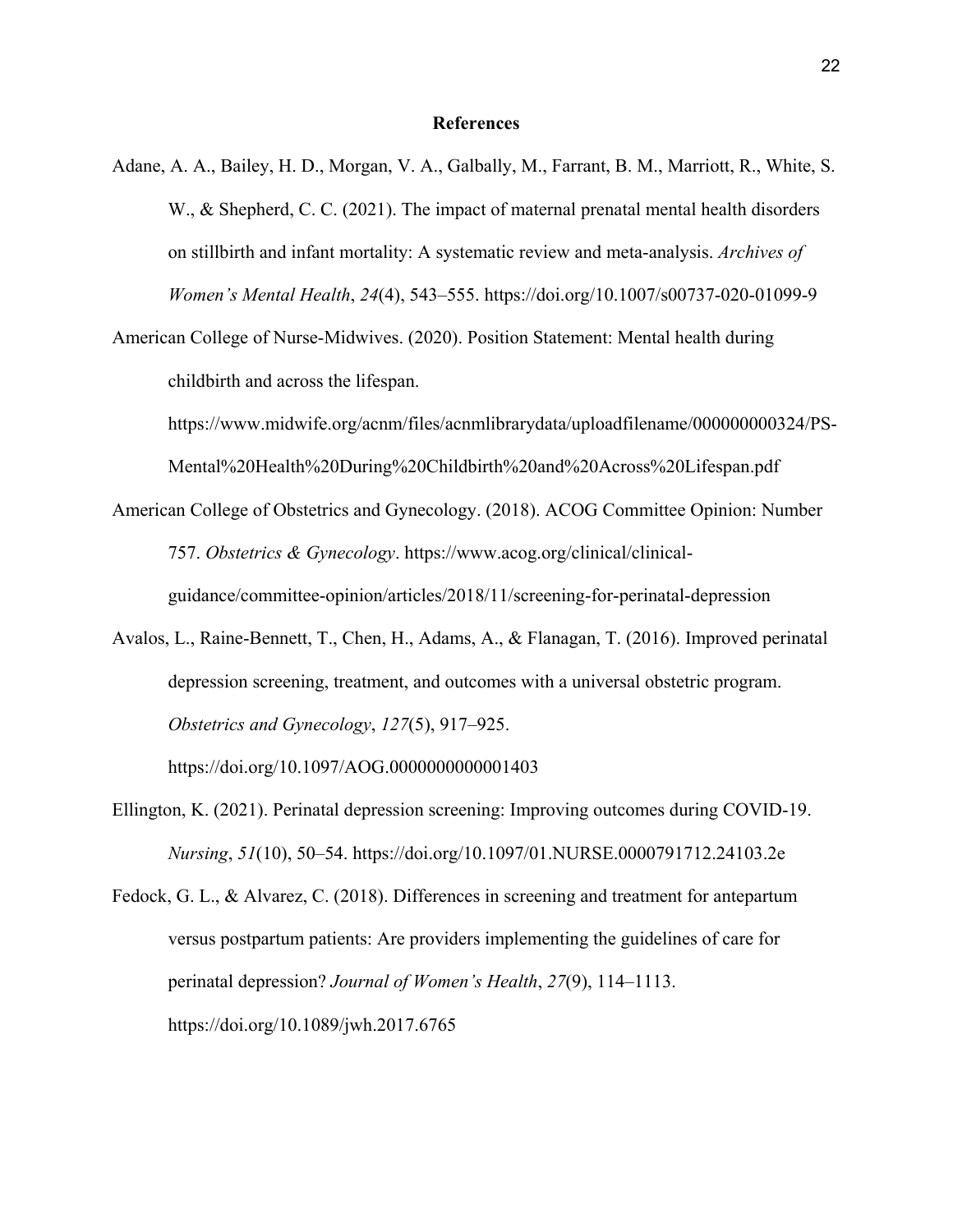#### **References**

- Adane, A. A., Bailey, H. D., Morgan, V. A., Galbally, M., Farrant, B. M., Marriott, R., White, S. W., & Shepherd, C. C. (2021). The impact of maternal prenatal mental health disorders on stillbirth and infant mortality: A systematic review and meta-analysis. *Archives of Women's Mental Health*, *24*(4), 543–555. https://doi.org/10.1007/s00737-020-01099-9
- American College of Nurse-Midwives. (2020). Position Statement: Mental health during childbirth and across the lifespan.

https://www.midwife.org/acnm/files/acnmlibrarydata/uploadfilename/000000000324/PS-Mental%20Health%20During%20Childbirth%20and%20Across%20Lifespan.pdf

- American College of Obstetrics and Gynecology. (2018). ACOG Committee Opinion: Number 757. *Obstetrics & Gynecology*. https://www.acog.org/clinical/clinicalguidance/committee-opinion/articles/2018/11/screening-for-perinatal-depression
- Avalos, L., Raine-Bennett, T., Chen, H., Adams, A., & Flanagan, T. (2016). Improved perinatal depression screening, treatment, and outcomes with a universal obstetric program. *Obstetrics and Gynecology*, *127*(5), 917–925.

https://doi.org/10.1097/AOG.0000000000001403

Ellington, K. (2021). Perinatal depression screening: Improving outcomes during COVID-19. *Nursing*, *51*(10), 50–54. https://doi.org/10.1097/01.NURSE.0000791712.24103.2e

Fedock, G. L., & Alvarez, C. (2018). Differences in screening and treatment for antepartum versus postpartum patients: Are providers implementing the guidelines of care for perinatal depression? *Journal of Women's Health*, *27*(9), 114–1113. https://doi.org/10.1089/jwh.2017.6765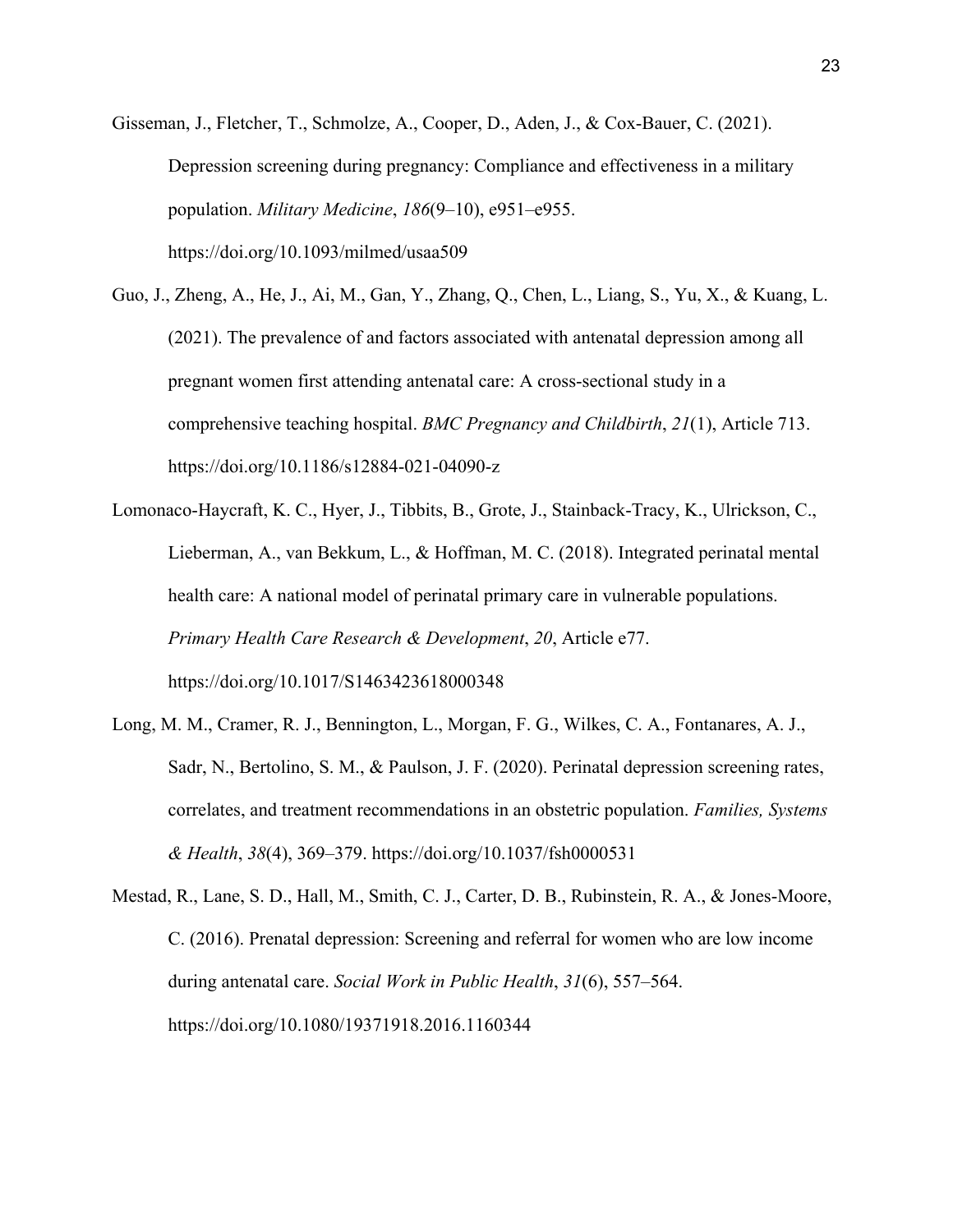Gisseman, J., Fletcher, T., Schmolze, A., Cooper, D., Aden, J., & Cox-Bauer, C. (2021). Depression screening during pregnancy: Compliance and effectiveness in a military population. *Military Medicine*, *186*(9–10), e951–e955. https://doi.org/10.1093/milmed/usaa509

Guo, J., Zheng, A., He, J., Ai, M., Gan, Y., Zhang, Q., Chen, L., Liang, S., Yu, X., & Kuang, L. (2021). The prevalence of and factors associated with antenatal depression among all pregnant women first attending antenatal care: A cross-sectional study in a comprehensive teaching hospital. *BMC Pregnancy and Childbirth*, *21*(1), Article 713. https://doi.org/10.1186/s12884-021-04090-z

Lomonaco-Haycraft, K. C., Hyer, J., Tibbits, B., Grote, J., Stainback-Tracy, K., Ulrickson, C., Lieberman, A., van Bekkum, L., & Hoffman, M. C. (2018). Integrated perinatal mental health care: A national model of perinatal primary care in vulnerable populations. *Primary Health Care Research & Development*, *20*, Article e77. https://doi.org/10.1017/S1463423618000348

Long, M. M., Cramer, R. J., Bennington, L., Morgan, F. G., Wilkes, C. A., Fontanares, A. J., Sadr, N., Bertolino, S. M., & Paulson, J. F. (2020). Perinatal depression screening rates, correlates, and treatment recommendations in an obstetric population. *Families, Systems & Health*, *38*(4), 369–379. https://doi.org/10.1037/fsh0000531

Mestad, R., Lane, S. D., Hall, M., Smith, C. J., Carter, D. B., Rubinstein, R. A., & Jones-Moore, C. (2016). Prenatal depression: Screening and referral for women who are low income during antenatal care. *Social Work in Public Health*, *31*(6), 557–564. https://doi.org/10.1080/19371918.2016.1160344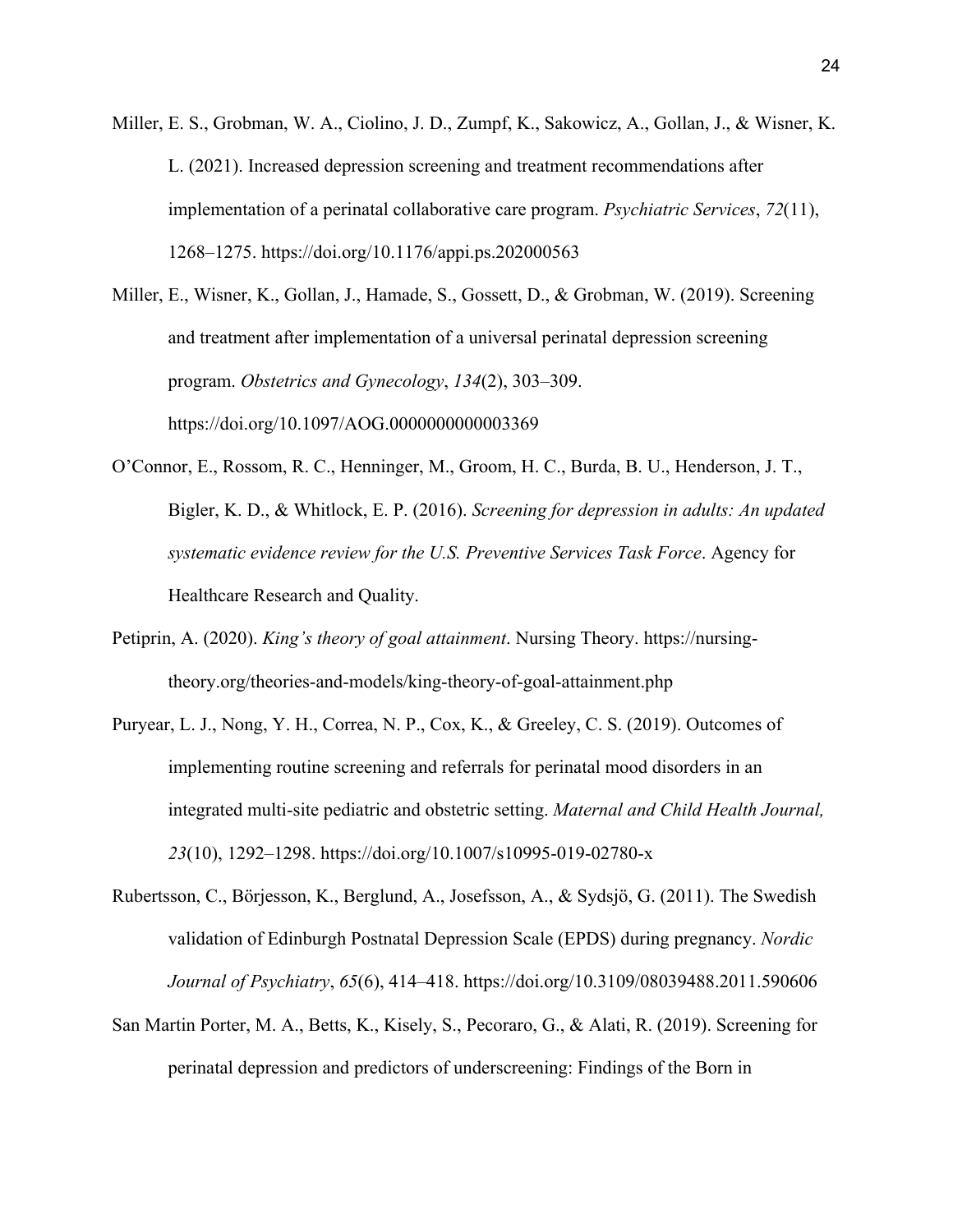Miller, E. S., Grobman, W. A., Ciolino, J. D., Zumpf, K., Sakowicz, A., Gollan, J., & Wisner, K. L. (2021). Increased depression screening and treatment recommendations after implementation of a perinatal collaborative care program. *Psychiatric Services*, *72*(11), 1268–1275. https://doi.org/10.1176/appi.ps.202000563

Miller, E., Wisner, K., Gollan, J., Hamade, S., Gossett, D., & Grobman, W. (2019). Screening and treatment after implementation of a universal perinatal depression screening program. *Obstetrics and Gynecology*, *134*(2), 303–309. https://doi.org/10.1097/AOG.0000000000003369

- O'Connor, E., Rossom, R. C., Henninger, M., Groom, H. C., Burda, B. U., Henderson, J. T., Bigler, K. D., & Whitlock, E. P. (2016). *Screening for depression in adults: An updated systematic evidence review for the U.S. Preventive Services Task Force*. Agency for Healthcare Research and Quality.
- Petiprin, A. (2020). *King's theory of goal attainment*. Nursing Theory. https://nursingtheory.org/theories-and-models/king-theory-of-goal-attainment.php
- Puryear, L. J., Nong, Y. H., Correa, N. P., Cox, K., & Greeley, C. S. (2019). Outcomes of implementing routine screening and referrals for perinatal mood disorders in an integrated multi-site pediatric and obstetric setting. *Maternal and Child Health Journal, 23*(10), 1292–1298. https://doi.org/10.1007/s10995-019-02780-x

Rubertsson, C., Börjesson, K., Berglund, A., Josefsson, A., & Sydsjö, G. (2011). The Swedish validation of Edinburgh Postnatal Depression Scale (EPDS) during pregnancy. *Nordic Journal of Psychiatry*, *65*(6), 414–418. https://doi.org/10.3109/08039488.2011.590606

San Martin Porter, M. A., Betts, K., Kisely, S., Pecoraro, G., & Alati, R. (2019). Screening for perinatal depression and predictors of underscreening: Findings of the Born in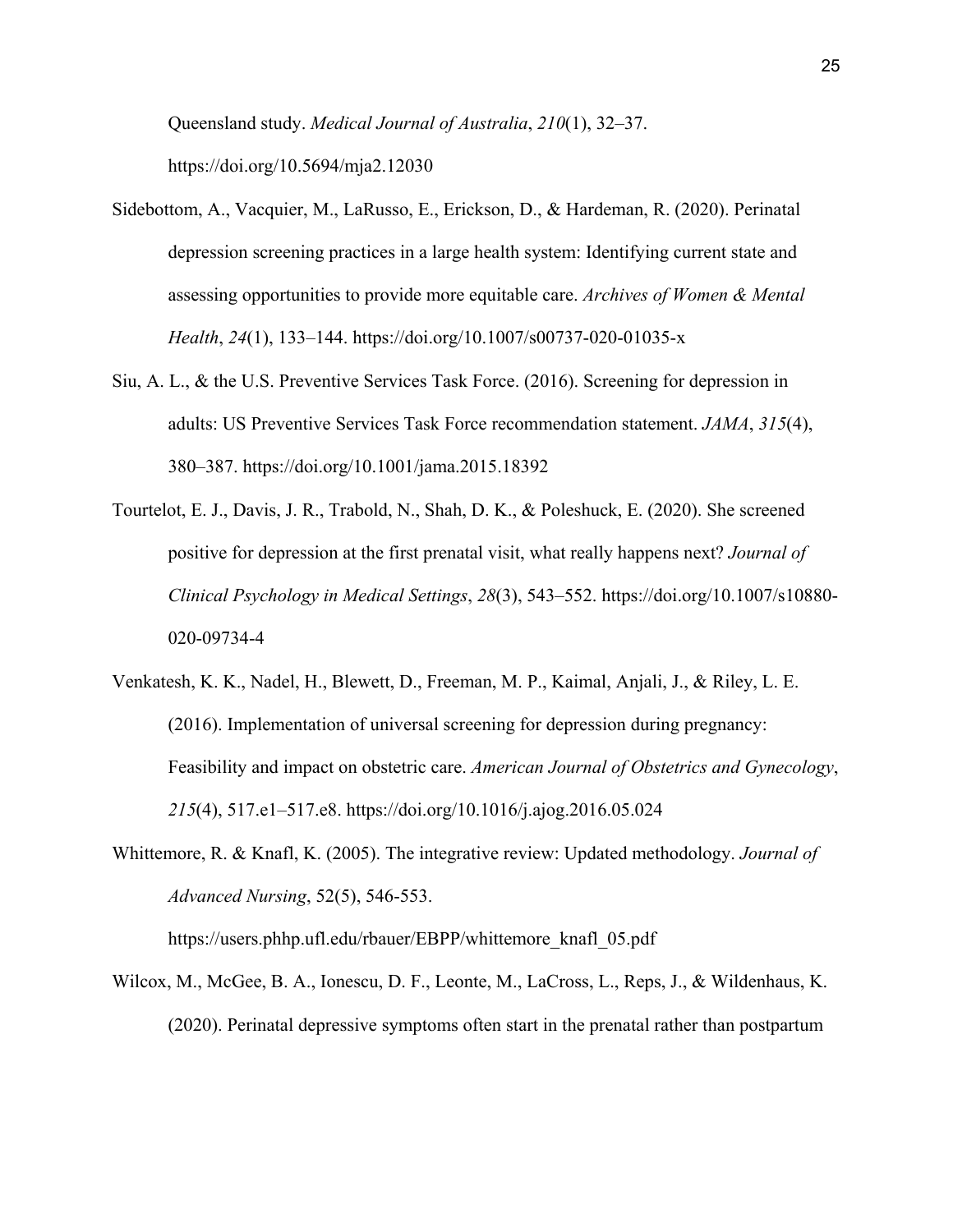Queensland study. *Medical Journal of Australia*, *210*(1), 32–37. https://doi.org/10.5694/mja2.12030

- Sidebottom, A., Vacquier, M., LaRusso, E., Erickson, D., & Hardeman, R. (2020). Perinatal depression screening practices in a large health system: Identifying current state and assessing opportunities to provide more equitable care. *Archives of Women & Mental Health*, *24*(1), 133–144. https://doi.org/10.1007/s00737-020-01035-x
- Siu, A. L., & the U.S. Preventive Services Task Force. (2016). Screening for depression in adults: US Preventive Services Task Force recommendation statement. *JAMA*, *315*(4), 380–387. https://doi.org/10.1001/jama.2015.18392
- Tourtelot, E. J., Davis, J. R., Trabold, N., Shah, D. K., & Poleshuck, E. (2020). She screened positive for depression at the first prenatal visit, what really happens next? *Journal of Clinical Psychology in Medical Settings*, *28*(3), 543–552. https://doi.org/10.1007/s10880- 020-09734-4
- Venkatesh, K. K., Nadel, H., Blewett, D., Freeman, M. P., Kaimal, Anjali, J., & Riley, L. E. (2016). Implementation of universal screening for depression during pregnancy: Feasibility and impact on obstetric care. *American Journal of Obstetrics and Gynecology*, *215*(4), 517.e1–517.e8. https://doi.org/10.1016/j.ajog.2016.05.024
- Whittemore, R. & Knafl, K. (2005). The integrative review: Updated methodology. *Journal of Advanced Nursing*, 52(5), 546-553.

https://users.phhp.ufl.edu/rbauer/EBPP/whittemore\_knafl\_05.pdf

Wilcox, M., McGee, B. A., Ionescu, D. F., Leonte, M., LaCross, L., Reps, J., & Wildenhaus, K. (2020). Perinatal depressive symptoms often start in the prenatal rather than postpartum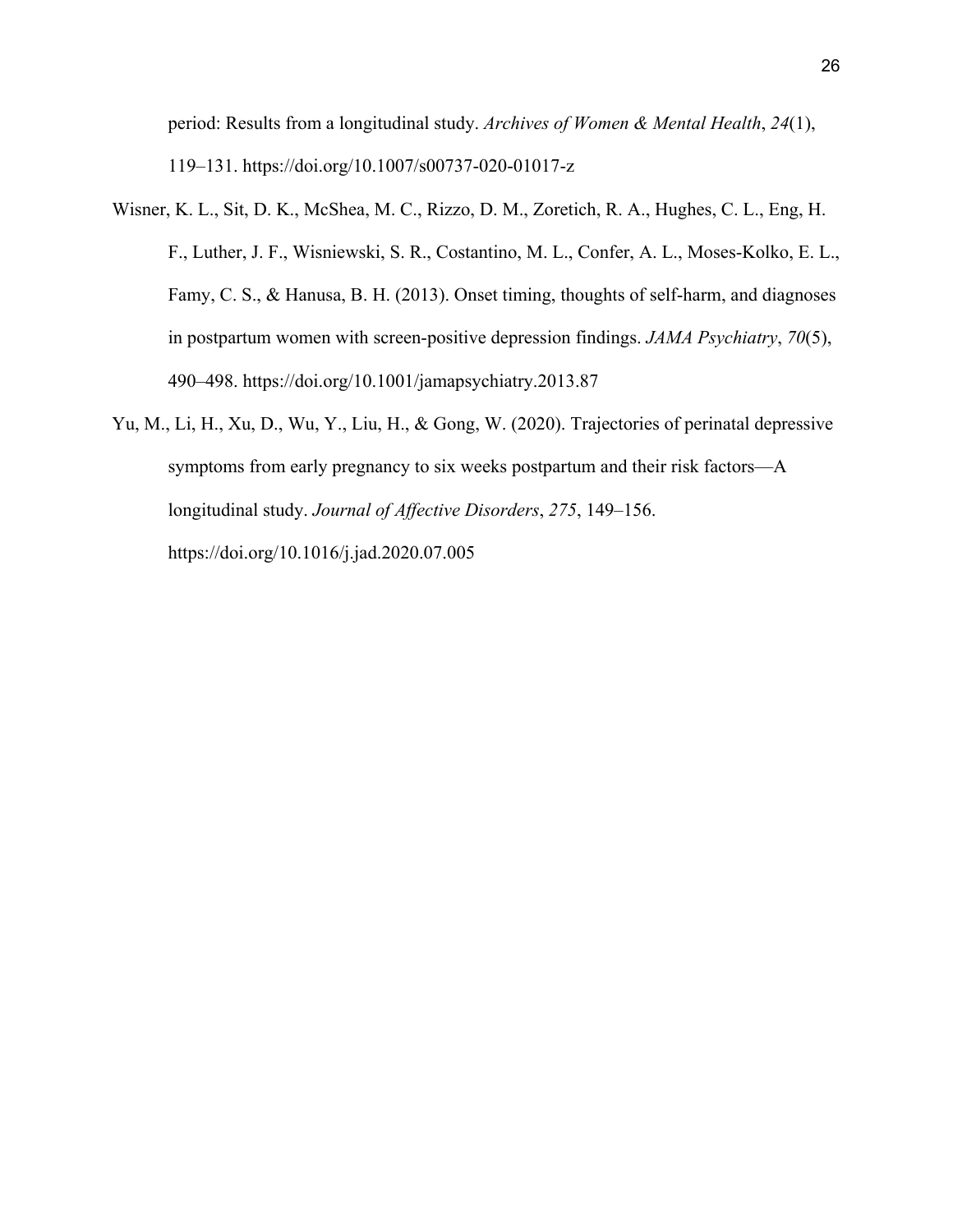period: Results from a longitudinal study. *Archives of Women & Mental Health*, *24*(1), 119–131. https://doi.org/10.1007/s00737-020-01017-z

- Wisner, K. L., Sit, D. K., McShea, M. C., Rizzo, D. M., Zoretich, R. A., Hughes, C. L., Eng, H. F., Luther, J. F., Wisniewski, S. R., Costantino, M. L., Confer, A. L., Moses-Kolko, E. L., Famy, C. S., & Hanusa, B. H. (2013). Onset timing, thoughts of self-harm, and diagnoses in postpartum women with screen-positive depression findings. *JAMA Psychiatry*, *70*(5), 490–498. https://doi.org/10.1001/jamapsychiatry.2013.87
- Yu, M., Li, H., Xu, D., Wu, Y., Liu, H., & Gong, W. (2020). Trajectories of perinatal depressive symptoms from early pregnancy to six weeks postpartum and their risk factors—A longitudinal study. *Journal of Affective Disorders*, *275*, 149–156. https://doi.org/10.1016/j.jad.2020.07.005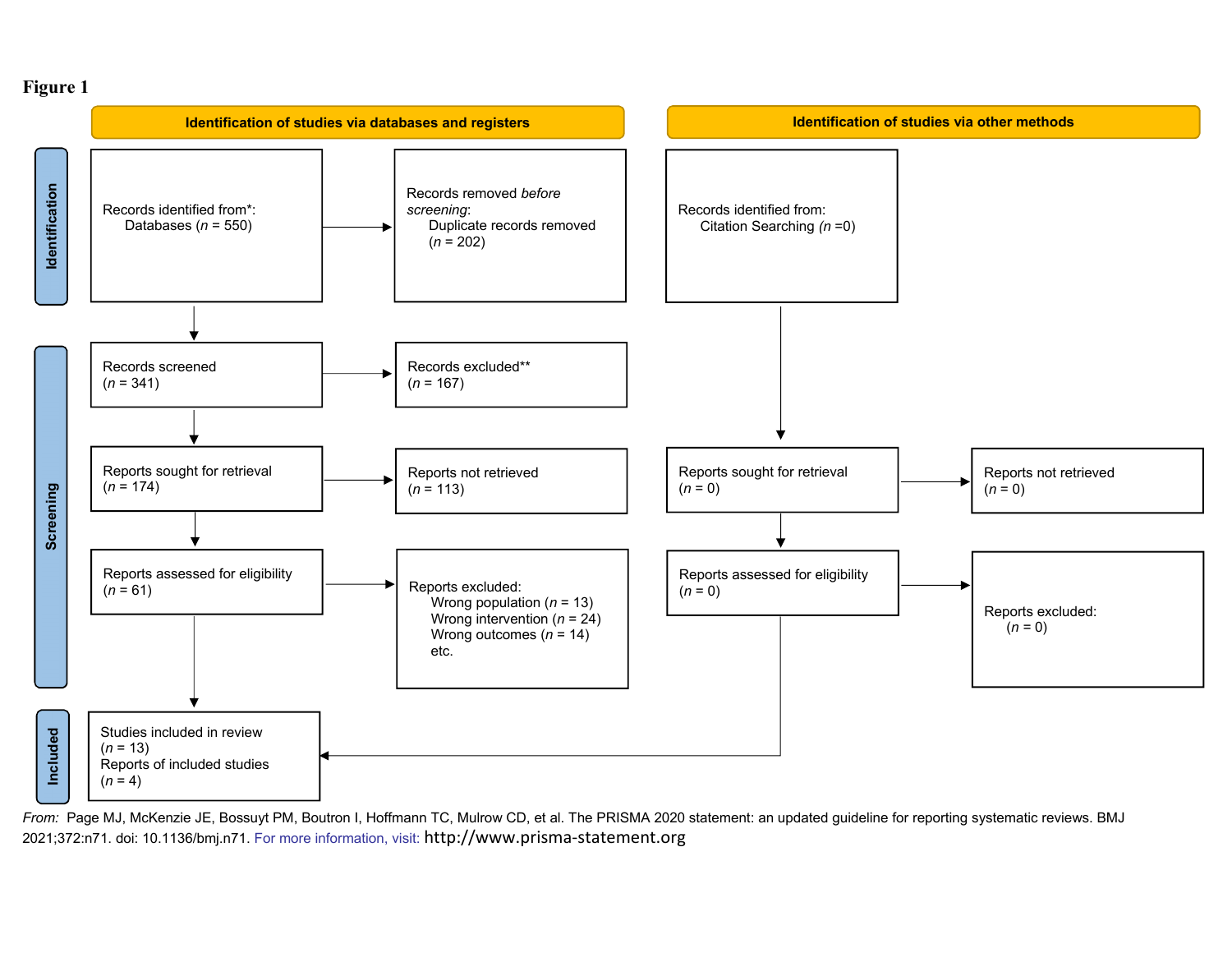#### **Figure 1**



From: Page MJ, McKenzie JE, Bossuyt PM, Boutron I, Hoffmann TC, Mulrow CD, et al. The PRISMA 2020 statement: an updated guideline for reporting systematic reviews. BMJ 2021;372:n71. doi: 10.1136/bmj.n71. For more information, visit: http://www.prisma‐statement.org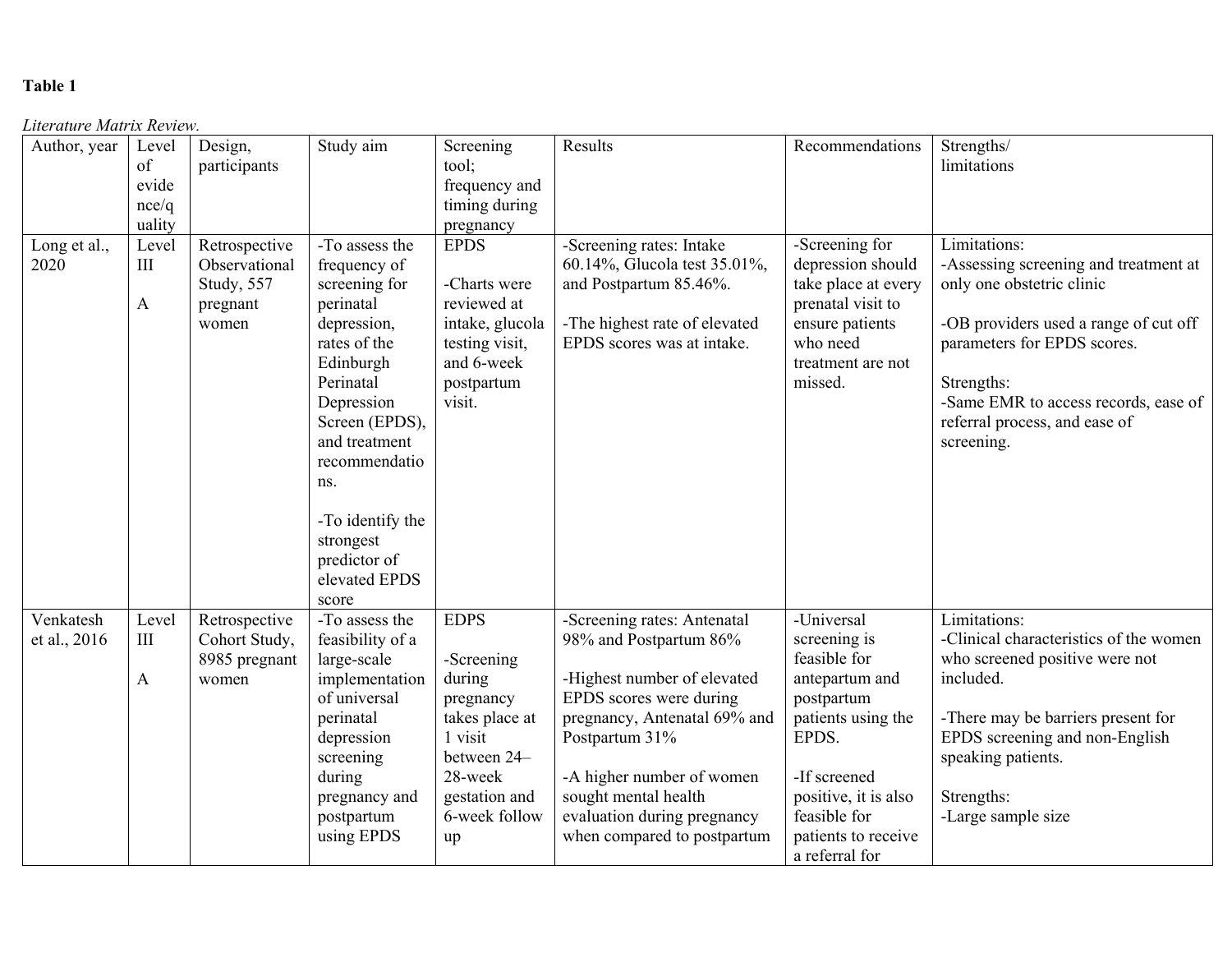## **Table 1**

#### *Literature Matrix Review.*

| Author, year | Level        | Design,       | Study aim        | Screening       | Results                       | Recommendations      | Strengths/                             |
|--------------|--------------|---------------|------------------|-----------------|-------------------------------|----------------------|----------------------------------------|
|              | of           | participants  |                  | tool;           |                               |                      | limitations                            |
|              |              |               |                  |                 |                               |                      |                                        |
|              | evide        |               |                  | frequency and   |                               |                      |                                        |
|              | nce/q        |               |                  | timing during   |                               |                      |                                        |
|              | uality       |               |                  | pregnancy       |                               |                      |                                        |
| Long et al., | Level        | Retrospective | -To assess the   | <b>EPDS</b>     | -Screening rates: Intake      | -Screening for       | Limitations:                           |
| 2020         | III          | Observational | frequency of     |                 | 60.14%, Glucola test 35.01%,  | depression should    | -Assessing screening and treatment at  |
|              |              | Study, 557    | screening for    | -Charts were    | and Postpartum 85.46%.        | take place at every  | only one obstetric clinic              |
|              | A            | pregnant      | perinatal        | reviewed at     |                               | prenatal visit to    |                                        |
|              |              | women         | depression,      | intake, glucola | -The highest rate of elevated | ensure patients      | -OB providers used a range of cut off  |
|              |              |               | rates of the     | testing visit,  | EPDS scores was at intake.    | who need             | parameters for EPDS scores.            |
|              |              |               | Edinburgh        | and 6-week      |                               | treatment are not    |                                        |
|              |              |               | Perinatal        | postpartum      |                               | missed.              | Strengths:                             |
|              |              |               | Depression       | visit.          |                               |                      | -Same EMR to access records, ease of   |
|              |              |               | Screen (EPDS),   |                 |                               |                      | referral process, and ease of          |
|              |              |               | and treatment    |                 |                               |                      | screening.                             |
|              |              |               | recommendatio    |                 |                               |                      |                                        |
|              |              |               | ns.              |                 |                               |                      |                                        |
|              |              |               |                  |                 |                               |                      |                                        |
|              |              |               | -To identify the |                 |                               |                      |                                        |
|              |              |               | strongest        |                 |                               |                      |                                        |
|              |              |               | predictor of     |                 |                               |                      |                                        |
|              |              |               | elevated EPDS    |                 |                               |                      |                                        |
|              |              |               | score            |                 |                               |                      |                                        |
| Venkatesh    | Level        | Retrospective | -To assess the   | <b>EDPS</b>     | -Screening rates: Antenatal   | -Universal           | Limitations:                           |
| et al., 2016 | $\rm III$    | Cohort Study, | feasibility of a |                 | 98% and Postpartum 86%        | screening is         | -Clinical characteristics of the women |
|              |              | 8985 pregnant | large-scale      | -Screening      |                               | feasible for         | who screened positive were not         |
|              | $\mathbf{A}$ | women         | implementation   | during          | -Highest number of elevated   | antepartum and       | included.                              |
|              |              |               | of universal     | pregnancy       | EPDS scores were during       | postpartum           |                                        |
|              |              |               | perinatal        | takes place at  | pregnancy, Antenatal 69% and  | patients using the   | -There may be barriers present for     |
|              |              |               | depression       | 1 visit         | Postpartum 31%                | EPDS.                | EPDS screening and non-English         |
|              |              |               | screening        | between 24-     |                               |                      | speaking patients.                     |
|              |              |               | during           | 28-week         | -A higher number of women     | -If screened         |                                        |
|              |              |               | pregnancy and    | gestation and   | sought mental health          | positive, it is also | Strengths:                             |
|              |              |               | postpartum       | 6-week follow   | evaluation during pregnancy   | feasible for         | -Large sample size                     |
|              |              |               | using EPDS       | up              | when compared to postpartum   | patients to receive  |                                        |
|              |              |               |                  |                 |                               | a referral for       |                                        |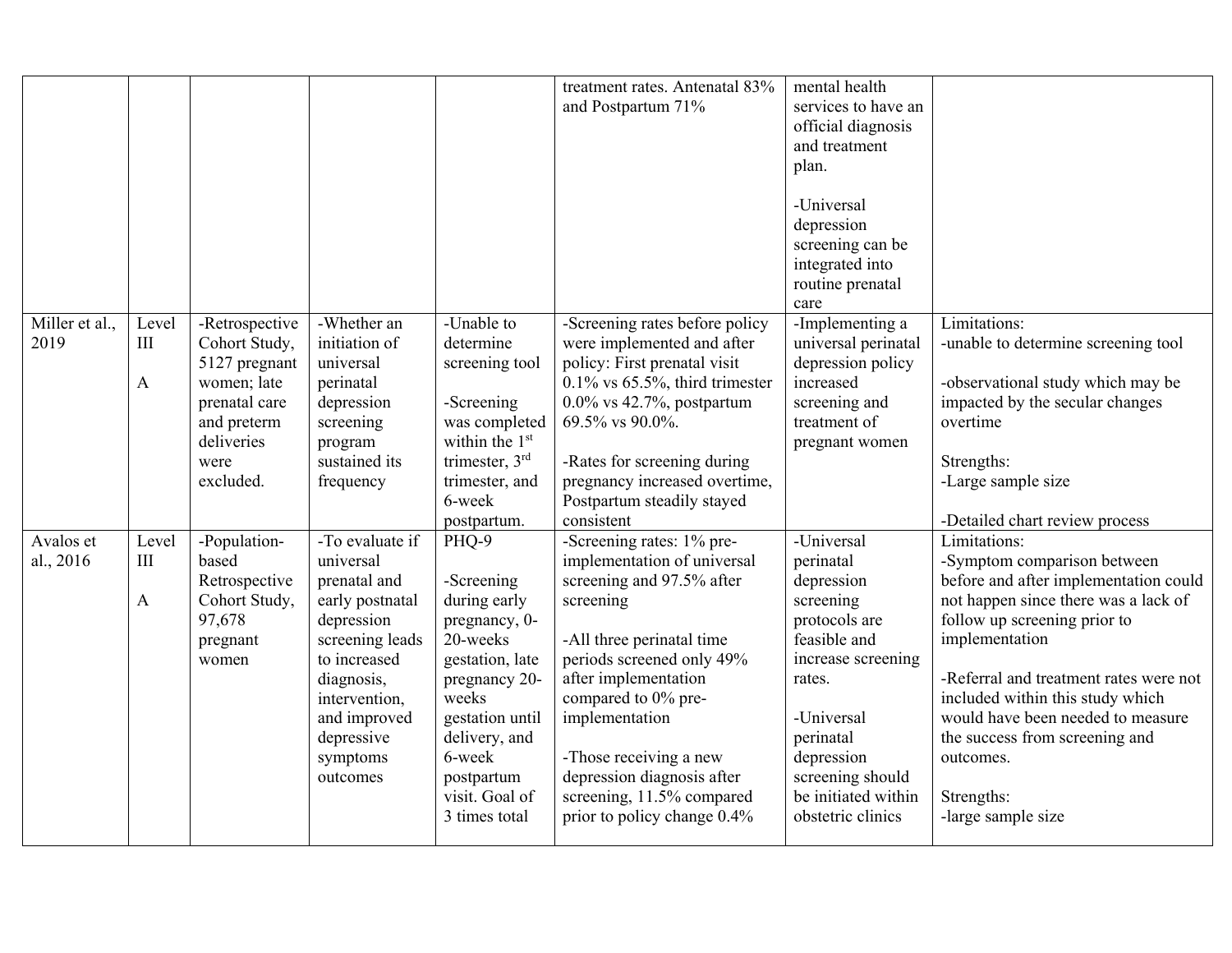|                        |                   |                                                                                                                                    |                                                                                                                                                                                                       |                                                                                                                                                                                                              | treatment rates. Antenatal 83%<br>and Postpartum 71%                                                                                                                                                                                                                                                                                              | mental health<br>services to have an<br>official diagnosis<br>and treatment<br>plan.<br>-Universal<br>depression<br>screening can be<br>integrated into<br>routine prenatal<br>care                                          |                                                                                                                                                                                                                                                                                                                                                                                      |
|------------------------|-------------------|------------------------------------------------------------------------------------------------------------------------------------|-------------------------------------------------------------------------------------------------------------------------------------------------------------------------------------------------------|--------------------------------------------------------------------------------------------------------------------------------------------------------------------------------------------------------------|---------------------------------------------------------------------------------------------------------------------------------------------------------------------------------------------------------------------------------------------------------------------------------------------------------------------------------------------------|------------------------------------------------------------------------------------------------------------------------------------------------------------------------------------------------------------------------------|--------------------------------------------------------------------------------------------------------------------------------------------------------------------------------------------------------------------------------------------------------------------------------------------------------------------------------------------------------------------------------------|
| Miller et al.,<br>2019 | Level<br>III<br>A | -Retrospective<br>Cohort Study,<br>5127 pregnant<br>women; late<br>prenatal care<br>and preterm<br>deliveries<br>were<br>excluded. | -Whether an<br>initiation of<br>universal<br>perinatal<br>depression<br>screening<br>program<br>sustained its<br>frequency                                                                            | -Unable to<br>determine<br>screening tool<br>-Screening<br>was completed<br>within the $1st$<br>trimester, $3rd$<br>trimester, and<br>6-week<br>postpartum.                                                  | -Screening rates before policy<br>were implemented and after<br>policy: First prenatal visit<br>$0.1\%$ vs 65.5%, third trimester<br>$0.0\%$ vs 42.7%, postpartum<br>69.5% vs 90.0%.<br>-Rates for screening during<br>pregnancy increased overtime,<br>Postpartum steadily stayed<br>consistent                                                  | -Implementing a<br>universal perinatal<br>depression policy<br>increased<br>screening and<br>treatment of<br>pregnant women                                                                                                  | Limitations:<br>-unable to determine screening tool<br>-observational study which may be<br>impacted by the secular changes<br>overtime<br>Strengths:<br>-Large sample size<br>-Detailed chart review process                                                                                                                                                                        |
| Avalos et<br>al., 2016 | Level<br>III<br>A | -Population-<br>based<br>Retrospective<br>Cohort Study,<br>97,678<br>pregnant<br>women                                             | -To evaluate if<br>universal<br>prenatal and<br>early postnatal<br>depression<br>screening leads<br>to increased<br>diagnosis,<br>intervention,<br>and improved<br>depressive<br>symptoms<br>outcomes | PHQ-9<br>-Screening<br>during early<br>pregnancy, 0-<br>20-weeks<br>gestation, late<br>pregnancy 20-<br>weeks<br>gestation until<br>delivery, and<br>6-week<br>postpartum<br>visit. Goal of<br>3 times total | -Screening rates: 1% pre-<br>implementation of universal<br>screening and 97.5% after<br>screening<br>-All three perinatal time<br>periods screened only 49%<br>after implementation<br>compared to 0% pre-<br>implementation<br>-Those receiving a new<br>depression diagnosis after<br>screening, 11.5% compared<br>prior to policy change 0.4% | -Universal<br>perinatal<br>depression<br>screening<br>protocols are<br>feasible and<br>increase screening<br>rates.<br>-Universal<br>perinatal<br>depression<br>screening should<br>be initiated within<br>obstetric clinics | Limitations:<br>-Symptom comparison between<br>before and after implementation could<br>not happen since there was a lack of<br>follow up screening prior to<br>implementation<br>-Referral and treatment rates were not<br>included within this study which<br>would have been needed to measure<br>the success from screening and<br>outcomes.<br>Strengths:<br>-large sample size |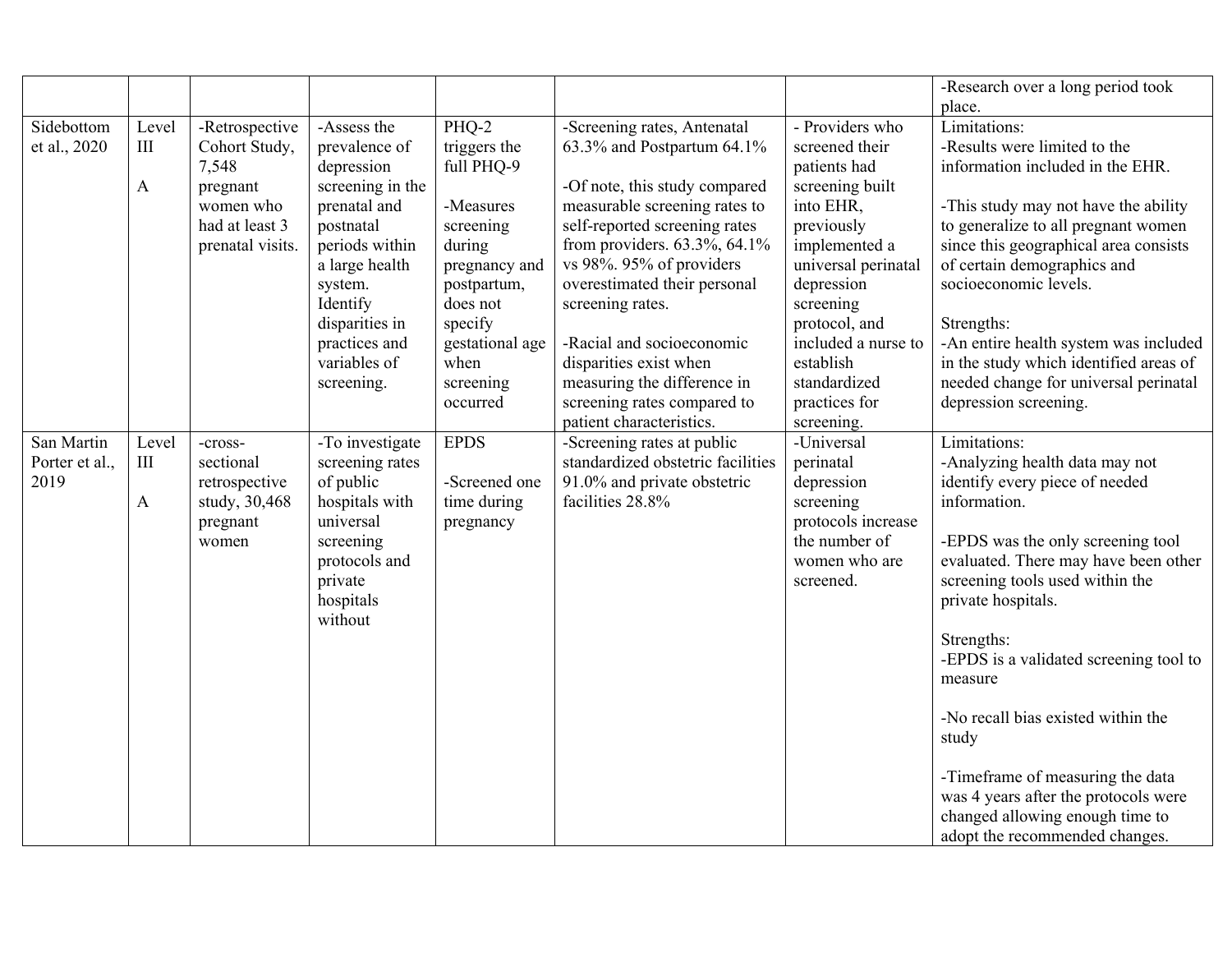|                |              |                  |                  |                       |                                                            |                               | -Research over a long period took                              |
|----------------|--------------|------------------|------------------|-----------------------|------------------------------------------------------------|-------------------------------|----------------------------------------------------------------|
| Sidebottom     | Level        | -Retrospective   | -Assess the      | PHQ-2                 | -Screening rates, Antenatal                                | - Providers who               | place.<br>Limitations:                                         |
| et al., 2020   | III          | Cohort Study,    | prevalence of    | triggers the          | 63.3% and Postpartum 64.1%                                 | screened their                | -Results were limited to the                                   |
|                |              | 7,548            | depression       | full PHQ-9            |                                                            | patients had                  | information included in the EHR.                               |
|                | $\mathbf{A}$ | pregnant         | screening in the |                       | -Of note, this study compared                              | screening built               |                                                                |
|                |              | women who        | prenatal and     | -Measures             | measurable screening rates to                              | into EHR,                     | -This study may not have the ability                           |
|                |              | had at least 3   | postnatal        | screening             | self-reported screening rates                              | previously                    | to generalize to all pregnant women                            |
|                |              | prenatal visits. | periods within   | during                | from providers. 63.3%, 64.1%                               | implemented a                 | since this geographical area consists                          |
|                |              |                  | a large health   | pregnancy and         | vs 98%. 95% of providers                                   | universal perinatal           | of certain demographics and                                    |
|                |              |                  | system.          | postpartum,           | overestimated their personal                               | depression                    | socioeconomic levels.                                          |
|                |              |                  | Identify         | does not              | screening rates.                                           | screening                     |                                                                |
|                |              |                  | disparities in   | specify               |                                                            | protocol, and                 | Strengths:                                                     |
|                |              |                  | practices and    | gestational age       | -Racial and socioeconomic                                  | included a nurse to           | -An entire health system was included                          |
|                |              |                  | variables of     | when                  | disparities exist when                                     | establish                     | in the study which identified areas of                         |
|                |              |                  | screening.       | screening<br>occurred | measuring the difference in<br>screening rates compared to | standardized<br>practices for | needed change for universal perinatal<br>depression screening. |
|                |              |                  |                  |                       | patient characteristics.                                   | screening.                    |                                                                |
| San Martin     | Level        | -cross-          | -To investigate  | <b>EPDS</b>           | -Screening rates at public                                 | -Universal                    | Limitations:                                                   |
| Porter et al., | $\rm III$    | sectional        | screening rates  |                       | standardized obstetric facilities                          | perinatal                     | -Analyzing health data may not                                 |
| 2019           |              | retrospective    | of public        | -Screened one         | 91.0% and private obstetric                                | depression                    | identify every piece of needed                                 |
|                | $\mathbf{A}$ | study, 30,468    | hospitals with   | time during           | facilities 28.8%                                           | screening                     | information.                                                   |
|                |              | pregnant         | universal        | pregnancy             |                                                            | protocols increase            |                                                                |
|                |              | women            | screening        |                       |                                                            | the number of                 | -EPDS was the only screening tool                              |
|                |              |                  | protocols and    |                       |                                                            | women who are                 | evaluated. There may have been other                           |
|                |              |                  | private          |                       |                                                            | screened.                     | screening tools used within the                                |
|                |              |                  | hospitals        |                       |                                                            |                               | private hospitals.                                             |
|                |              |                  | without          |                       |                                                            |                               |                                                                |
|                |              |                  |                  |                       |                                                            |                               | Strengths:                                                     |
|                |              |                  |                  |                       |                                                            |                               | -EPDS is a validated screening tool to<br>measure              |
|                |              |                  |                  |                       |                                                            |                               |                                                                |
|                |              |                  |                  |                       |                                                            |                               | -No recall bias existed within the                             |
|                |              |                  |                  |                       |                                                            |                               | study                                                          |
|                |              |                  |                  |                       |                                                            |                               |                                                                |
|                |              |                  |                  |                       |                                                            |                               | -Timeframe of measuring the data                               |
|                |              |                  |                  |                       |                                                            |                               | was 4 years after the protocols were                           |
|                |              |                  |                  |                       |                                                            |                               | changed allowing enough time to                                |
|                |              |                  |                  |                       |                                                            |                               | adopt the recommended changes.                                 |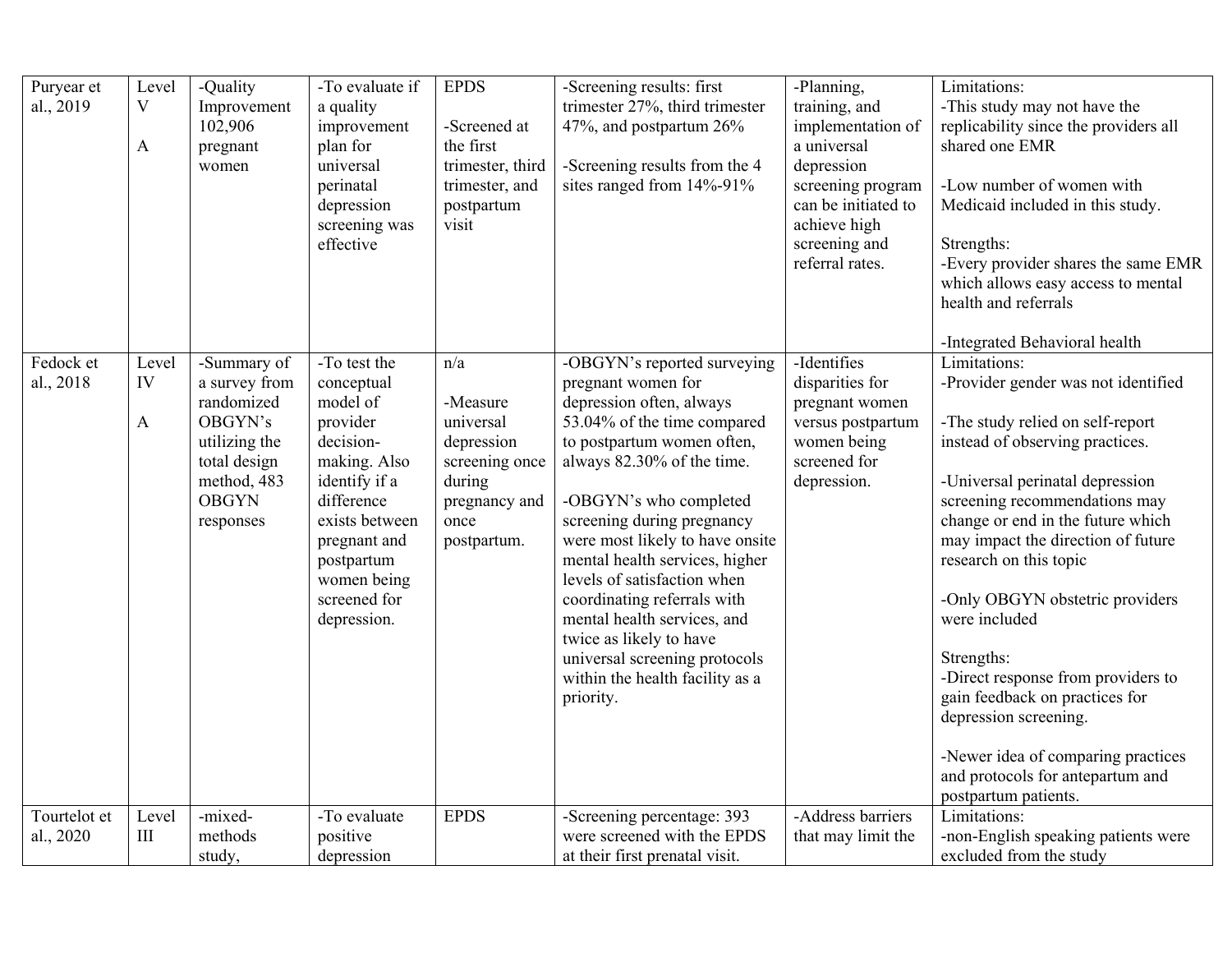| Puryear et<br>al., 2019   | Level<br>V<br>A             | -Quality<br>Improvement<br>102,906<br>pregnant<br>women                                                                            | -To evaluate if<br>a quality<br>improvement<br>plan for<br>universal<br>perinatal<br>depression<br>screening was<br>effective                                                                                | <b>EPDS</b><br>-Screened at<br>the first<br>trimester, third<br>trimester, and<br>postpartum<br>visit          | -Screening results: first<br>trimester 27%, third trimester<br>47%, and postpartum 26%<br>-Screening results from the 4<br>sites ranged from 14%-91%                                                                                                                                                                                                                                                                                                                                                           | -Planning,<br>training, and<br>implementation of<br>a universal<br>depression<br>screening program<br>can be initiated to<br>achieve high<br>screening and<br>referral rates. | Limitations:<br>-This study may not have the<br>replicability since the providers all<br>shared one EMR<br>-Low number of women with<br>Medicaid included in this study.<br>Strengths:<br>-Every provider shares the same EMR<br>which allows easy access to mental<br>health and referrals                                                                                                                                                                                                                                                                                                               |
|---------------------------|-----------------------------|------------------------------------------------------------------------------------------------------------------------------------|--------------------------------------------------------------------------------------------------------------------------------------------------------------------------------------------------------------|----------------------------------------------------------------------------------------------------------------|----------------------------------------------------------------------------------------------------------------------------------------------------------------------------------------------------------------------------------------------------------------------------------------------------------------------------------------------------------------------------------------------------------------------------------------------------------------------------------------------------------------|-------------------------------------------------------------------------------------------------------------------------------------------------------------------------------|-----------------------------------------------------------------------------------------------------------------------------------------------------------------------------------------------------------------------------------------------------------------------------------------------------------------------------------------------------------------------------------------------------------------------------------------------------------------------------------------------------------------------------------------------------------------------------------------------------------|
| Fedock et<br>al., 2018    | Level<br>IV<br>$\mathbf{A}$ | -Summary of<br>a survey from<br>randomized<br>OBGYN's<br>utilizing the<br>total design<br>method, 483<br><b>OBGYN</b><br>responses | -To test the<br>conceptual<br>model of<br>provider<br>decision-<br>making. Also<br>identify if a<br>difference<br>exists between<br>pregnant and<br>postpartum<br>women being<br>screened for<br>depression. | n/a<br>-Measure<br>universal<br>depression<br>screening once<br>during<br>pregnancy and<br>once<br>postpartum. | -OBGYN's reported surveying<br>pregnant women for<br>depression often, always<br>53.04% of the time compared<br>to postpartum women often,<br>always 82.30% of the time.<br>-OBGYN's who completed<br>screening during pregnancy<br>were most likely to have onsite<br>mental health services, higher<br>levels of satisfaction when<br>coordinating referrals with<br>mental health services, and<br>twice as likely to have<br>universal screening protocols<br>within the health facility as a<br>priority. | -Identifies<br>disparities for<br>pregnant women<br>versus postpartum<br>women being<br>screened for<br>depression.                                                           | -Integrated Behavioral health<br>Limitations:<br>-Provider gender was not identified<br>-The study relied on self-report<br>instead of observing practices.<br>-Universal perinatal depression<br>screening recommendations may<br>change or end in the future which<br>may impact the direction of future<br>research on this topic<br>-Only OBGYN obstetric providers<br>were included<br>Strengths:<br>-Direct response from providers to<br>gain feedback on practices for<br>depression screening.<br>-Newer idea of comparing practices<br>and protocols for antepartum and<br>postpartum patients. |
| Tourtelot et<br>al., 2020 | Level<br>$\rm III$          | -mixed-<br>methods<br>study,                                                                                                       | -To evaluate<br>positive<br>depression                                                                                                                                                                       | <b>EPDS</b>                                                                                                    | -Screening percentage: 393<br>were screened with the EPDS<br>at their first prenatal visit.                                                                                                                                                                                                                                                                                                                                                                                                                    | -Address barriers<br>that may limit the                                                                                                                                       | Limitations:<br>-non-English speaking patients were<br>excluded from the study                                                                                                                                                                                                                                                                                                                                                                                                                                                                                                                            |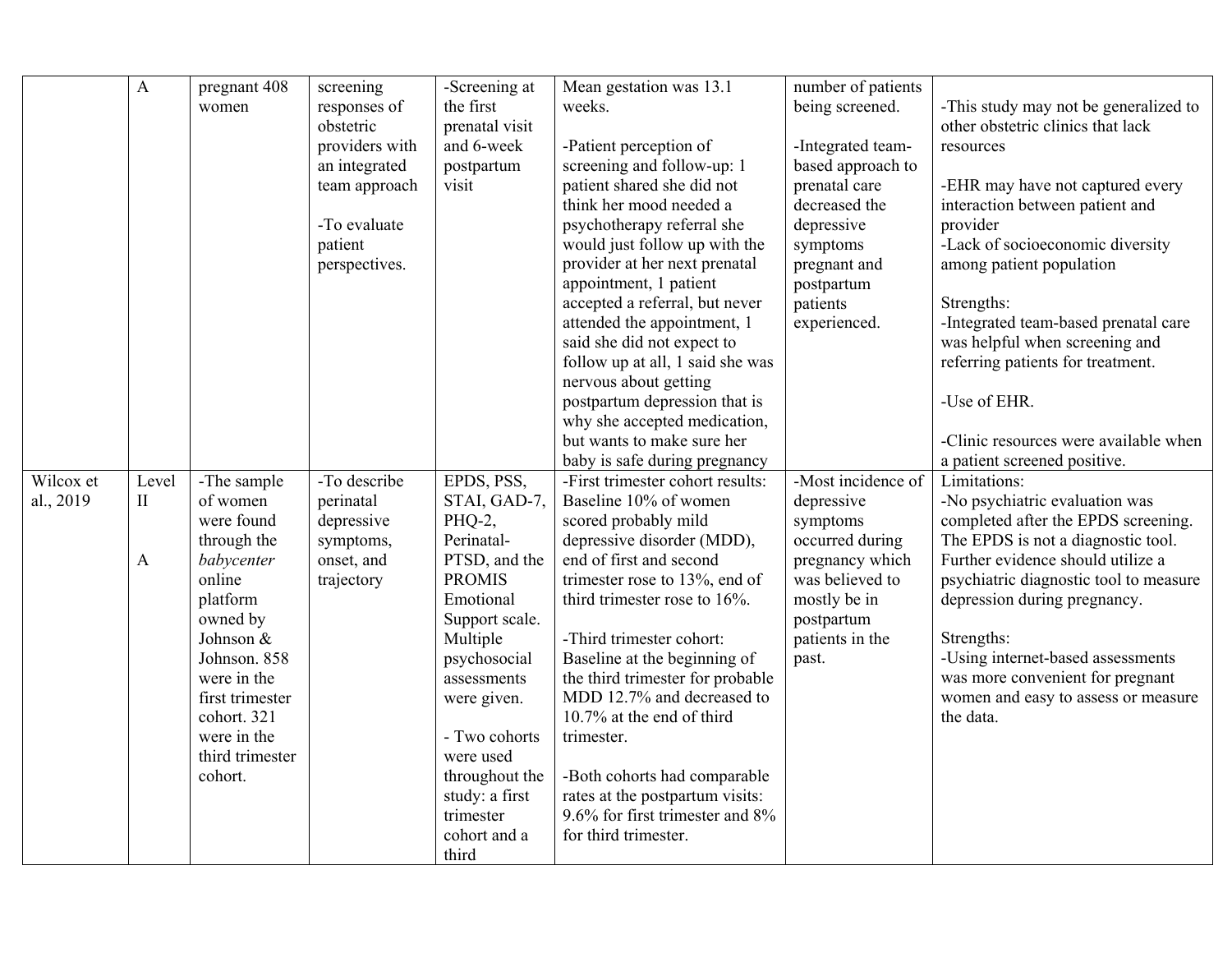|           | $\mathbf{A}$ | pregnant 408    | screening      | -Screening at  | Mean gestation was 13.1          | number of patients |                                        |
|-----------|--------------|-----------------|----------------|----------------|----------------------------------|--------------------|----------------------------------------|
|           |              | women           | responses of   | the first      | weeks.                           | being screened.    | -This study may not be generalized to  |
|           |              |                 | obstetric      | prenatal visit |                                  |                    | other obstetric clinics that lack      |
|           |              |                 | providers with | and 6-week     | -Patient perception of           | -Integrated team-  | resources                              |
|           |              |                 | an integrated  | postpartum     | screening and follow-up: 1       | based approach to  |                                        |
|           |              |                 | team approach  | visit          | patient shared she did not       | prenatal care      | -EHR may have not captured every       |
|           |              |                 |                |                | think her mood needed a          | decreased the      | interaction between patient and        |
|           |              |                 | -To evaluate   |                | psychotherapy referral she       | depressive         | provider                               |
|           |              |                 | patient        |                | would just follow up with the    | symptoms           | -Lack of socioeconomic diversity       |
|           |              |                 | perspectives.  |                | provider at her next prenatal    | pregnant and       | among patient population               |
|           |              |                 |                |                | appointment, 1 patient           | postpartum         |                                        |
|           |              |                 |                |                | accepted a referral, but never   | patients           | Strengths:                             |
|           |              |                 |                |                | attended the appointment, 1      | experienced.       | -Integrated team-based prenatal care   |
|           |              |                 |                |                | said she did not expect to       |                    | was helpful when screening and         |
|           |              |                 |                |                | follow up at all, 1 said she was |                    | referring patients for treatment.      |
|           |              |                 |                |                | nervous about getting            |                    |                                        |
|           |              |                 |                |                | postpartum depression that is    |                    | -Use of EHR.                           |
|           |              |                 |                |                | why she accepted medication,     |                    |                                        |
|           |              |                 |                |                | but wants to make sure her       |                    | -Clinic resources were available when  |
|           |              |                 |                |                | baby is safe during pregnancy    |                    | a patient screened positive.           |
| Wilcox et | Level        | -The sample     | -To describe   | EPDS, PSS,     | -First trimester cohort results: | -Most incidence of | Limitations:                           |
| al., 2019 | $\mathbf{I}$ | of women        | perinatal      | STAI, GAD-7,   | Baseline 10% of women            | depressive         | -No psychiatric evaluation was         |
|           |              | were found      | depressive     | PHQ-2,         | scored probably mild             | symptoms           | completed after the EPDS screening.    |
|           |              | through the     | symptoms,      | Perinatal-     | depressive disorder (MDD),       | occurred during    | The EPDS is not a diagnostic tool.     |
|           | A            | babycenter      | onset, and     | PTSD, and the  | end of first and second          | pregnancy which    | Further evidence should utilize a      |
|           |              | online          | trajectory     | <b>PROMIS</b>  | trimester rose to 13%, end of    | was believed to    | psychiatric diagnostic tool to measure |
|           |              | platform        |                | Emotional      | third trimester rose to 16%.     | mostly be in       | depression during pregnancy.           |
|           |              | owned by        |                | Support scale. |                                  | postpartum         |                                        |
|           |              | Johnson &       |                | Multiple       | -Third trimester cohort:         | patients in the    | Strengths:                             |
|           |              | Johnson. 858    |                | psychosocial   | Baseline at the beginning of     | past.              | -Using internet-based assessments      |
|           |              | were in the     |                | assessments    | the third trimester for probable |                    | was more convenient for pregnant       |
|           |              | first trimester |                | were given.    | MDD 12.7% and decreased to       |                    | women and easy to assess or measure    |
|           |              | cohort. 321     |                |                | 10.7% at the end of third        |                    | the data.                              |
|           |              | were in the     |                | - Two cohorts  | trimester.                       |                    |                                        |
|           |              | third trimester |                | were used      |                                  |                    |                                        |
|           |              | cohort.         |                | throughout the | -Both cohorts had comparable     |                    |                                        |
|           |              |                 |                | study: a first | rates at the postpartum visits:  |                    |                                        |
|           |              |                 |                | trimester      | 9.6% for first trimester and 8%  |                    |                                        |
|           |              |                 |                | cohort and a   | for third trimester.             |                    |                                        |
|           |              |                 |                | third          |                                  |                    |                                        |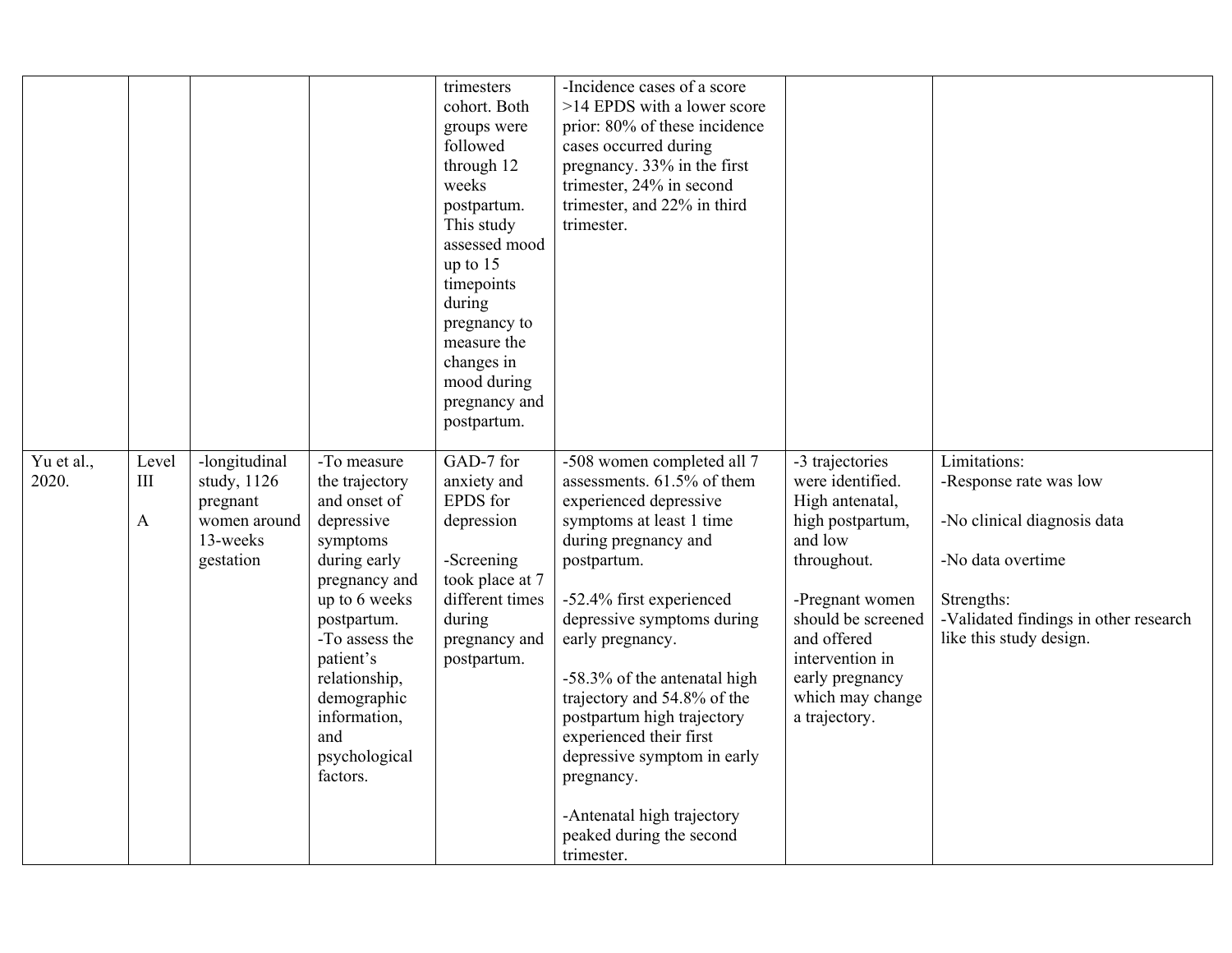|                     |                         |                                                                                   |                                                                                                                                                                                                                                                             | trimesters<br>cohort. Both<br>groups were<br>followed<br>through 12<br>weeks<br>postpartum.<br>This study<br>assessed mood<br>up to $15$<br>timepoints<br>during<br>pregnancy to<br>measure the<br>changes in<br>mood during<br>pregnancy and<br>postpartum. | -Incidence cases of a score<br>>14 EPDS with a lower score<br>prior: 80% of these incidence<br>cases occurred during<br>pregnancy. 33% in the first<br>trimester, 24% in second<br>trimester, and 22% in third<br>trimester.                                                                                                                                                                                                                                                     |                                                                                                                                                                                                                                         |                                                                                                                                                                              |
|---------------------|-------------------------|-----------------------------------------------------------------------------------|-------------------------------------------------------------------------------------------------------------------------------------------------------------------------------------------------------------------------------------------------------------|--------------------------------------------------------------------------------------------------------------------------------------------------------------------------------------------------------------------------------------------------------------|----------------------------------------------------------------------------------------------------------------------------------------------------------------------------------------------------------------------------------------------------------------------------------------------------------------------------------------------------------------------------------------------------------------------------------------------------------------------------------|-----------------------------------------------------------------------------------------------------------------------------------------------------------------------------------------------------------------------------------------|------------------------------------------------------------------------------------------------------------------------------------------------------------------------------|
| Yu et al.,<br>2020. | Level<br>$\rm III$<br>A | -longitudinal<br>study, 1126<br>pregnant<br>women around<br>13-weeks<br>gestation | -To measure<br>the trajectory<br>and onset of<br>depressive<br>symptoms<br>during early<br>pregnancy and<br>up to 6 weeks<br>postpartum.<br>-To assess the<br>patient's<br>relationship,<br>demographic<br>information,<br>and<br>psychological<br>factors. | GAD-7 for<br>anxiety and<br>EPDS for<br>depression<br>-Screening<br>took place at 7<br>different times<br>during<br>pregnancy and<br>postpartum.                                                                                                             | -508 women completed all 7<br>assessments. 61.5% of them<br>experienced depressive<br>symptoms at least 1 time<br>during pregnancy and<br>postpartum.<br>-52.4% first experienced<br>depressive symptoms during<br>early pregnancy.<br>-58.3% of the antenatal high<br>trajectory and 54.8% of the<br>postpartum high trajectory<br>experienced their first<br>depressive symptom in early<br>pregnancy.<br>-Antenatal high trajectory<br>peaked during the second<br>trimester. | -3 trajectories<br>were identified.<br>High antenatal,<br>high postpartum,<br>and low<br>throughout.<br>-Pregnant women<br>should be screened<br>and offered<br>intervention in<br>early pregnancy<br>which may change<br>a trajectory. | Limitations:<br>-Response rate was low<br>-No clinical diagnosis data<br>-No data overtime<br>Strengths:<br>-Validated findings in other research<br>like this study design. |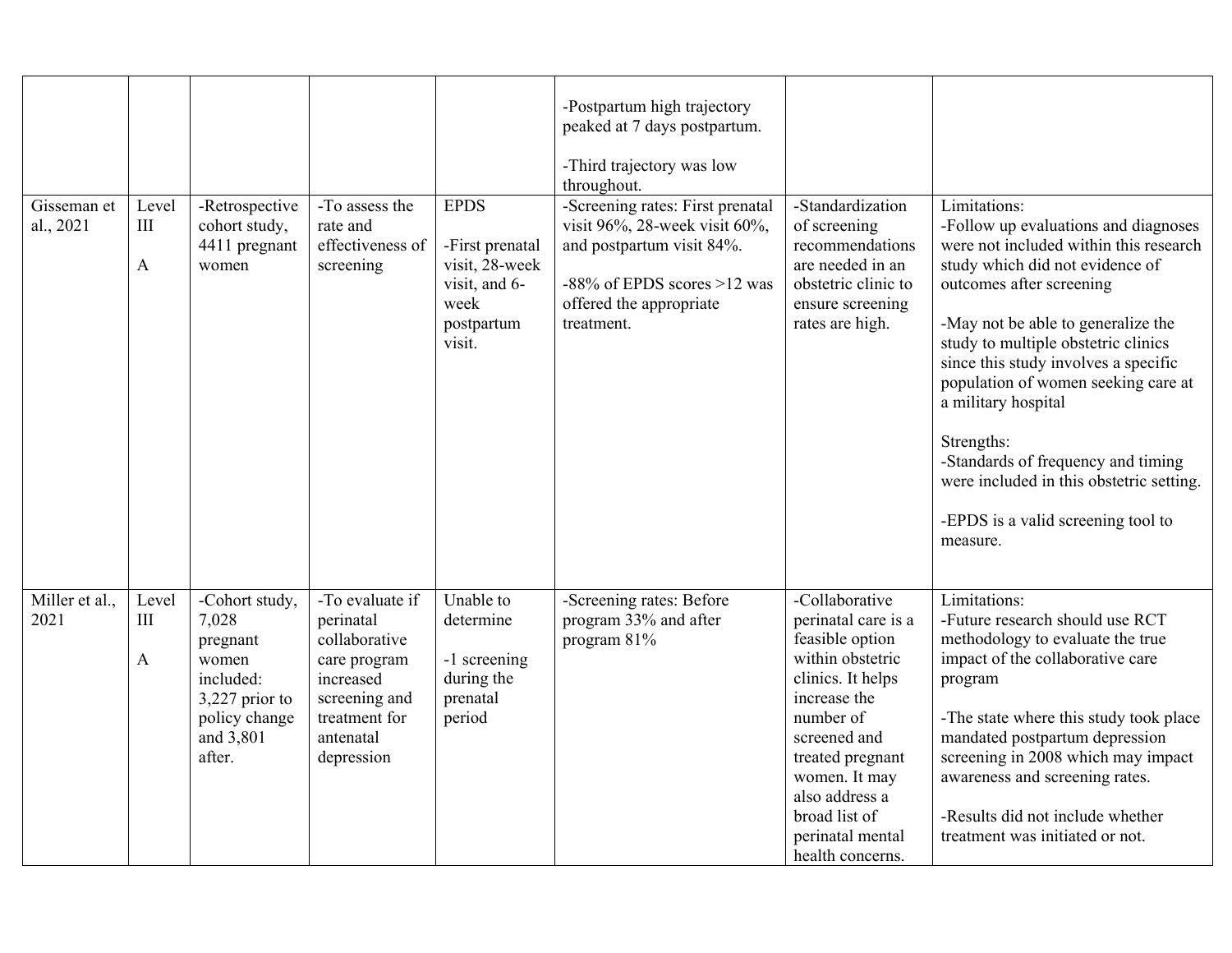|                          |                              |                                                                                                                     |                                                                                                                                         |                                                                                                   | -Postpartum high trajectory<br>peaked at 7 days postpartum.<br>-Third trajectory was low<br>throughout.                                                                     |                                                                                                                                                                                                                                                                |                                                                                                                                                                                                                                                                                                                                                                                                                                                                                                    |
|--------------------------|------------------------------|---------------------------------------------------------------------------------------------------------------------|-----------------------------------------------------------------------------------------------------------------------------------------|---------------------------------------------------------------------------------------------------|-----------------------------------------------------------------------------------------------------------------------------------------------------------------------------|----------------------------------------------------------------------------------------------------------------------------------------------------------------------------------------------------------------------------------------------------------------|----------------------------------------------------------------------------------------------------------------------------------------------------------------------------------------------------------------------------------------------------------------------------------------------------------------------------------------------------------------------------------------------------------------------------------------------------------------------------------------------------|
| Gisseman et<br>al., 2021 | Level<br>III<br>$\mathbf{A}$ | -Retrospective<br>cohort study,<br>4411 pregnant<br>women                                                           | -To assess the<br>rate and<br>effectiveness of<br>screening                                                                             | <b>EPDS</b><br>-First prenatal<br>visit, 28-week<br>visit, and 6-<br>week<br>postpartum<br>visit. | -Screening rates: First prenatal<br>visit 96%, 28-week visit 60%,<br>and postpartum visit 84%.<br>$-88\%$ of EPDS scores $>12$ was<br>offered the appropriate<br>treatment. | -Standardization<br>of screening<br>recommendations<br>are needed in an<br>obstetric clinic to<br>ensure screening<br>rates are high.                                                                                                                          | Limitations:<br>-Follow up evaluations and diagnoses<br>were not included within this research<br>study which did not evidence of<br>outcomes after screening<br>-May not be able to generalize the<br>study to multiple obstetric clinics<br>since this study involves a specific<br>population of women seeking care at<br>a military hospital<br>Strengths:<br>-Standards of frequency and timing<br>were included in this obstetric setting.<br>-EPDS is a valid screening tool to<br>measure. |
| Miller et al.,<br>2021   | Level<br>III<br>$\mathbf{A}$ | -Cohort study,<br>7,028<br>pregnant<br>women<br>included:<br>3,227 prior to<br>policy change<br>and 3,801<br>after. | -To evaluate if<br>perinatal<br>collaborative<br>care program<br>increased<br>screening and<br>treatment for<br>antenatal<br>depression | Unable to<br>determine<br>-1 screening<br>during the<br>prenatal<br>period                        | -Screening rates: Before<br>program 33% and after<br>program 81%                                                                                                            | -Collaborative<br>perinatal care is a<br>feasible option<br>within obstetric<br>clinics. It helps<br>increase the<br>number of<br>screened and<br>treated pregnant<br>women. It may<br>also address a<br>broad list of<br>perinatal mental<br>health concerns. | Limitations:<br>-Future research should use RCT<br>methodology to evaluate the true<br>impact of the collaborative care<br>program<br>-The state where this study took place<br>mandated postpartum depression<br>screening in 2008 which may impact<br>awareness and screening rates.<br>-Results did not include whether<br>treatment was initiated or not.                                                                                                                                      |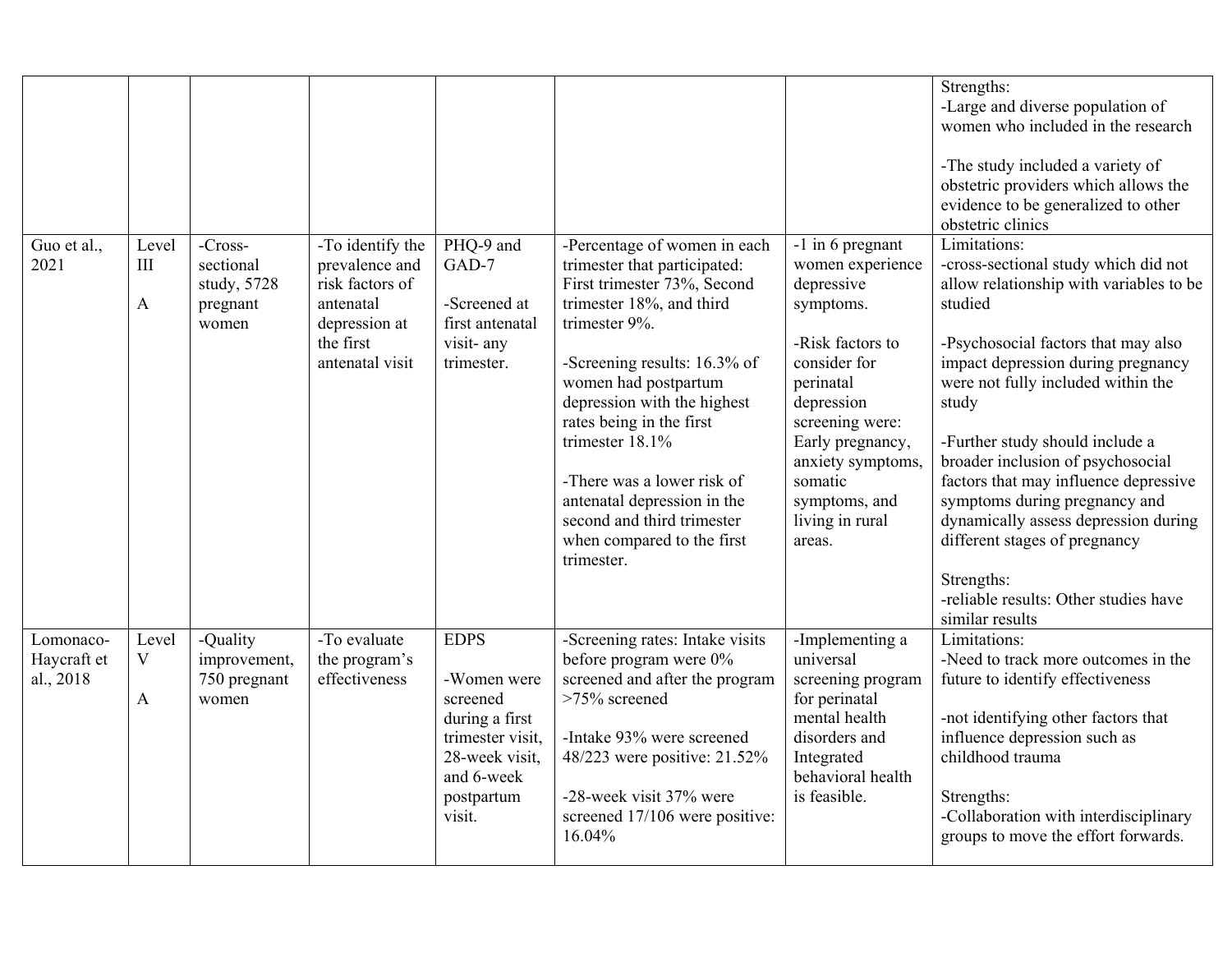|                                       |                                      |                                                          |                                                                                                                     |                                                                                                                                      |                                                                                                                                                                                                                                                                                                                                                                                                                       |                                                                                                                                                                                                                                                     | Strengths:<br>-Large and diverse population of<br>women who included in the research<br>-The study included a variety of<br>obstetric providers which allows the<br>evidence to be generalized to other<br>obstetric clinics                                                                                                                                                                                                                                                                                                                |
|---------------------------------------|--------------------------------------|----------------------------------------------------------|---------------------------------------------------------------------------------------------------------------------|--------------------------------------------------------------------------------------------------------------------------------------|-----------------------------------------------------------------------------------------------------------------------------------------------------------------------------------------------------------------------------------------------------------------------------------------------------------------------------------------------------------------------------------------------------------------------|-----------------------------------------------------------------------------------------------------------------------------------------------------------------------------------------------------------------------------------------------------|---------------------------------------------------------------------------------------------------------------------------------------------------------------------------------------------------------------------------------------------------------------------------------------------------------------------------------------------------------------------------------------------------------------------------------------------------------------------------------------------------------------------------------------------|
| Guo et al.,<br>2021                   | Level<br>III<br>$\mathbf{A}$         | -Cross-<br>sectional<br>study, 5728<br>pregnant<br>women | -To identify the<br>prevalence and<br>risk factors of<br>antenatal<br>depression at<br>the first<br>antenatal visit | PHQ-9 and<br>GAD-7<br>-Screened at<br>first antenatal<br>visit- any<br>trimester.                                                    | -Percentage of women in each<br>trimester that participated:<br>First trimester 73%, Second<br>trimester 18%, and third<br>trimester 9%.<br>-Screening results: 16.3% of<br>women had postpartum<br>depression with the highest<br>rates being in the first<br>trimester 18.1%<br>-There was a lower risk of<br>antenatal depression in the<br>second and third trimester<br>when compared to the first<br>trimester. | -1 in 6 pregnant<br>women experience<br>depressive<br>symptoms.<br>-Risk factors to<br>consider for<br>perinatal<br>depression<br>screening were:<br>Early pregnancy,<br>anxiety symptoms,<br>somatic<br>symptoms, and<br>living in rural<br>areas. | Limitations:<br>-cross-sectional study which did not<br>allow relationship with variables to be<br>studied<br>-Psychosocial factors that may also<br>impact depression during pregnancy<br>were not fully included within the<br>study<br>-Further study should include a<br>broader inclusion of psychosocial<br>factors that may influence depressive<br>symptoms during pregnancy and<br>dynamically assess depression during<br>different stages of pregnancy<br>Strengths:<br>-reliable results: Other studies have<br>similar results |
| Lomonaco-<br>Haycraft et<br>al., 2018 | Level<br>$\mathbf V$<br>$\mathbf{A}$ | -Quality<br>improvement,<br>750 pregnant<br>women        | -To evaluate<br>the program's<br>effectiveness                                                                      | <b>EDPS</b><br>-Women were<br>screened<br>during a first<br>trimester visit,<br>28-week visit,<br>and 6-week<br>postpartum<br>visit. | -Screening rates: Intake visits<br>before program were 0%<br>screened and after the program<br>>75% screened<br>-Intake 93% were screened<br>48/223 were positive: 21.52%<br>-28-week visit 37% were<br>screened 17/106 were positive:<br>16.04%                                                                                                                                                                      | -Implementing a<br>universal<br>screening program<br>for perinatal<br>mental health<br>disorders and<br>Integrated<br>behavioral health<br>is feasible.                                                                                             | Limitations:<br>-Need to track more outcomes in the<br>future to identify effectiveness<br>-not identifying other factors that<br>influence depression such as<br>childhood trauma<br>Strengths:<br>-Collaboration with interdisciplinary<br>groups to move the effort forwards.                                                                                                                                                                                                                                                            |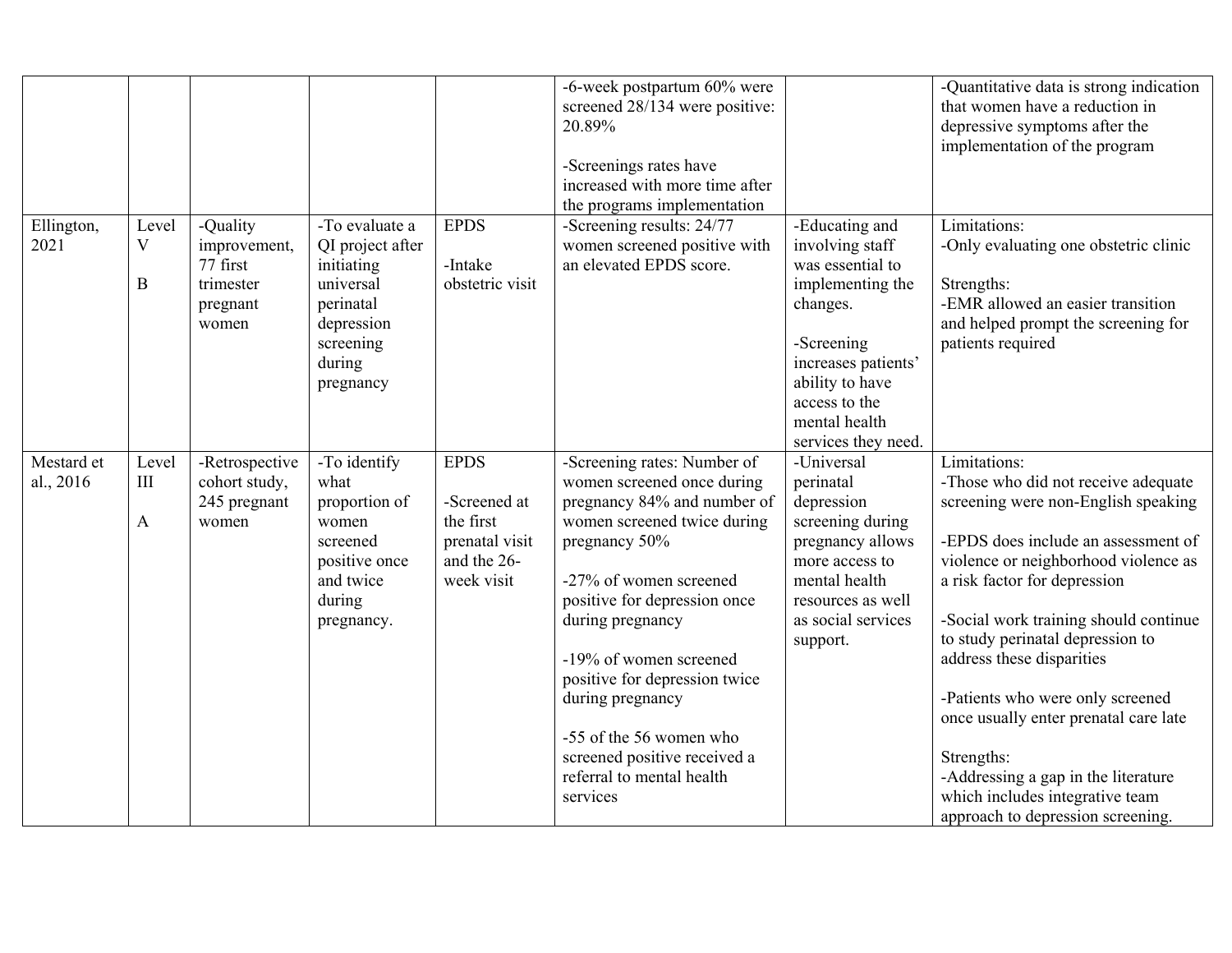|                         |                                             |                                                                        |                                                                                                                              |                                                                                         | -6-week postpartum 60% were<br>screened 28/134 were positive:<br>20.89%<br>-Screenings rates have<br>increased with more time after<br>the programs implementation                                                                                                                                                                                                                                        |                                                                                                                                                                                                        | -Quantitative data is strong indication<br>that women have a reduction in<br>depressive symptoms after the<br>implementation of the program                                                                                                                                                                                                                                                                                                                                                                                   |
|-------------------------|---------------------------------------------|------------------------------------------------------------------------|------------------------------------------------------------------------------------------------------------------------------|-----------------------------------------------------------------------------------------|-----------------------------------------------------------------------------------------------------------------------------------------------------------------------------------------------------------------------------------------------------------------------------------------------------------------------------------------------------------------------------------------------------------|--------------------------------------------------------------------------------------------------------------------------------------------------------------------------------------------------------|-------------------------------------------------------------------------------------------------------------------------------------------------------------------------------------------------------------------------------------------------------------------------------------------------------------------------------------------------------------------------------------------------------------------------------------------------------------------------------------------------------------------------------|
| Ellington,<br>2021      | Level<br>V<br>$\mathbf B$                   | -Quality<br>improvement,<br>77 first<br>trimester<br>pregnant<br>women | -To evaluate a<br>QI project after<br>initiating<br>universal<br>perinatal<br>depression<br>screening<br>during<br>pregnancy | <b>EPDS</b><br>-Intake<br>obstetric visit                                               | -Screening results: 24/77<br>women screened positive with<br>an elevated EPDS score.                                                                                                                                                                                                                                                                                                                      | -Educating and<br>involving staff<br>was essential to<br>implementing the<br>changes.<br>-Screening<br>increases patients'<br>ability to have<br>access to the<br>mental health<br>services they need. | Limitations:<br>-Only evaluating one obstetric clinic<br>Strengths:<br>-EMR allowed an easier transition<br>and helped prompt the screening for<br>patients required                                                                                                                                                                                                                                                                                                                                                          |
| Mestard et<br>al., 2016 | Level<br>$\mathop{\rm III}$<br>$\mathbf{A}$ | -Retrospective<br>cohort study,<br>245 pregnant<br>women               | -To identify<br>what<br>proportion of<br>women<br>screened<br>positive once<br>and twice<br>during<br>pregnancy.             | <b>EPDS</b><br>-Screened at<br>the first<br>prenatal visit<br>and the 26-<br>week visit | -Screening rates: Number of<br>women screened once during<br>pregnancy 84% and number of<br>women screened twice during<br>pregnancy 50%<br>-27% of women screened<br>positive for depression once<br>during pregnancy<br>-19% of women screened<br>positive for depression twice<br>during pregnancy<br>-55 of the 56 women who<br>screened positive received a<br>referral to mental health<br>services | -Universal<br>perinatal<br>depression<br>screening during<br>pregnancy allows<br>more access to<br>mental health<br>resources as well<br>as social services<br>support.                                | Limitations:<br>-Those who did not receive adequate<br>screening were non-English speaking<br>-EPDS does include an assessment of<br>violence or neighborhood violence as<br>a risk factor for depression<br>-Social work training should continue<br>to study perinatal depression to<br>address these disparities<br>-Patients who were only screened<br>once usually enter prenatal care late<br>Strengths:<br>-Addressing a gap in the literature<br>which includes integrative team<br>approach to depression screening. |